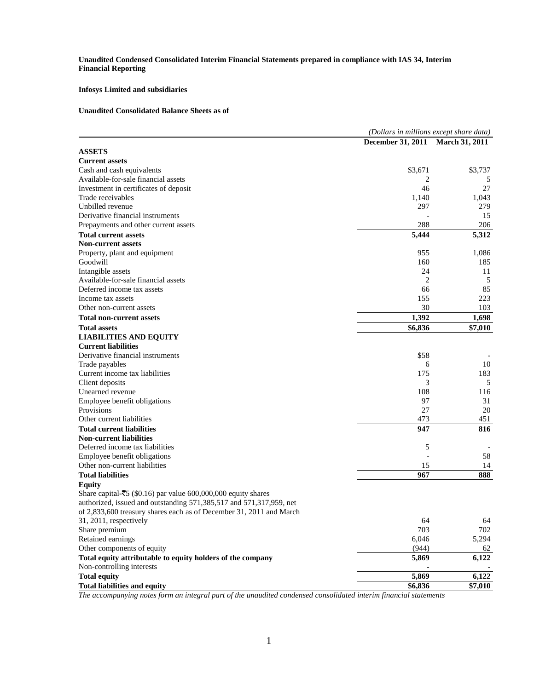**Unaudited Condensed Consolidated Interim Financial Statements prepared in compliance with IAS 34, Interim Financial Reporting**

## **Infosys Limited and subsidiaries**

## **Unaudited Consolidated Balance Sheets as of**

|                                                                         | (Dollars in millions except share data) |                       |  |
|-------------------------------------------------------------------------|-----------------------------------------|-----------------------|--|
|                                                                         | <b>December 31, 2011</b>                | <b>March 31, 2011</b> |  |
| <b>ASSETS</b>                                                           |                                         |                       |  |
| <b>Current assets</b>                                                   |                                         |                       |  |
| Cash and cash equivalents                                               | \$3,671                                 | \$3,737               |  |
| Available-for-sale financial assets                                     | 2                                       | 5                     |  |
| Investment in certificates of deposit                                   | 46                                      | 27                    |  |
| Trade receivables                                                       | 1,140                                   | 1,043                 |  |
| Unbilled revenue                                                        | 297                                     | 279                   |  |
| Derivative financial instruments                                        |                                         | 15                    |  |
| Prepayments and other current assets                                    | 288                                     | 206                   |  |
| <b>Total current assets</b>                                             | 5,444                                   | 5,312                 |  |
| <b>Non-current assets</b>                                               |                                         |                       |  |
| Property, plant and equipment                                           | 955                                     | 1,086                 |  |
| Goodwill                                                                | 160                                     | 185                   |  |
| Intangible assets                                                       | 24                                      | 11                    |  |
| Available-for-sale financial assets                                     | $\overline{2}$                          | 5                     |  |
| Deferred income tax assets                                              | 66                                      | 85                    |  |
| Income tax assets                                                       | 155                                     | 223                   |  |
| Other non-current assets                                                | 30                                      | 103                   |  |
| <b>Total non-current assets</b>                                         | 1,392                                   | 1,698                 |  |
| <b>Total assets</b>                                                     | \$6,836                                 | \$7,010               |  |
| <b>LIABILITIES AND EQUITY</b>                                           |                                         |                       |  |
| <b>Current liabilities</b>                                              |                                         |                       |  |
| Derivative financial instruments                                        | \$58                                    |                       |  |
| Trade payables                                                          | 6                                       | 10                    |  |
| Current income tax liabilities                                          | 175                                     | 183                   |  |
| Client deposits                                                         | 3                                       | 5                     |  |
| Unearned revenue                                                        | 108                                     | 116                   |  |
| Employee benefit obligations                                            | 97                                      | 31                    |  |
| Provisions                                                              | 27                                      | 20                    |  |
| Other current liabilities                                               | 473                                     | 451                   |  |
| <b>Total current liabilities</b>                                        | 947                                     | 816                   |  |
| <b>Non-current liabilities</b>                                          |                                         |                       |  |
| Deferred income tax liabilities                                         | 5                                       |                       |  |
| Employee benefit obligations                                            |                                         | 58                    |  |
| Other non-current liabilities                                           | 15                                      | 14                    |  |
| <b>Total liabilities</b>                                                | 967                                     | 888                   |  |
| <b>Equity</b>                                                           |                                         |                       |  |
| Share capital- $\bar{z}$ 5 (\$0.16) par value 600,000,000 equity shares |                                         |                       |  |
| authorized, issued and outstanding 571,385,517 and 571,317,959, net     |                                         |                       |  |
| of 2,833,600 treasury shares each as of December 31, 2011 and March     |                                         |                       |  |
| 31, 2011, respectively                                                  | 64                                      | 64                    |  |
| Share premium                                                           | 703                                     | 702                   |  |
| Retained earnings                                                       | 6,046                                   | 5,294                 |  |
| Other components of equity                                              | (944)                                   | 62                    |  |
| Total equity attributable to equity holders of the company              | 5,869                                   | 6,122                 |  |
| Non-controlling interests                                               |                                         |                       |  |
| <b>Total equity</b>                                                     | 5,869                                   | 6,122                 |  |
|                                                                         |                                         |                       |  |
| <b>Total liabilities and equity</b>                                     | \$6,836                                 | $\overline{$}7,010$   |  |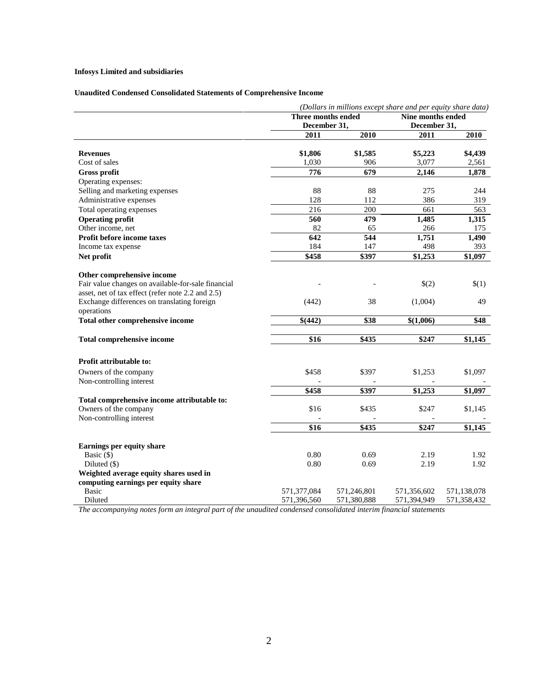# **Infosys Limited and subsidiaries**

# **Unaudited Condensed Consolidated Statements of Comprehensive Income**

|                                                    | (Dollars in millions except share and per equity share data) |             |                   |             |
|----------------------------------------------------|--------------------------------------------------------------|-------------|-------------------|-------------|
|                                                    | Three months ended<br>December 31,                           |             | Nine months ended |             |
|                                                    |                                                              |             | December 31,      |             |
|                                                    | 2011                                                         | 2010        | 2011              | 2010        |
|                                                    |                                                              |             |                   |             |
| <b>Revenues</b>                                    | \$1,806                                                      | \$1,585     | \$5,223           | \$4,439     |
| Cost of sales                                      | 1,030                                                        | 906         | 3,077             | 2,561       |
| <b>Gross profit</b>                                | 776                                                          | 679         | 2,146             | 1,878       |
| Operating expenses:                                |                                                              |             |                   |             |
| Selling and marketing expenses                     | 88                                                           | 88          | 275               | 244         |
| Administrative expenses                            | 128                                                          | 112         | 386               | 319         |
| Total operating expenses                           | 216                                                          | 200         | 661               | 563         |
| <b>Operating profit</b>                            | 560                                                          | 479         | 1,485             | 1,315       |
| Other income, net                                  | 82                                                           | 65          | 266               | 175         |
| Profit before income taxes                         | 642                                                          | 544         | 1,751             | 1,490       |
| Income tax expense                                 | 184                                                          | 147         | 498               | 393         |
| Net profit                                         | \$458                                                        | \$397       | \$1,253           | \$1,097     |
|                                                    |                                                              |             |                   |             |
| Other comprehensive income                         |                                                              |             |                   |             |
| Fair value changes on available-for-sale financial |                                                              |             | \$(2)             | \$(1)       |
| asset, net of tax effect (refer note 2.2 and 2.5)  |                                                              |             |                   |             |
| Exchange differences on translating foreign        | (442)                                                        | 38          | (1,004)           | 49          |
| operations                                         |                                                              |             |                   |             |
| Total other comprehensive income                   | \$(442)                                                      | \$38        | \$(1,006)         | \$48        |
| Total comprehensive income                         | \$16                                                         | \$435       | \$247             | \$1,145     |
|                                                    |                                                              |             |                   |             |
| <b>Profit attributable to:</b>                     |                                                              |             |                   |             |
| Owners of the company                              | \$458                                                        | \$397       | \$1,253           | \$1,097     |
| Non-controlling interest                           |                                                              |             |                   |             |
|                                                    | \$458                                                        | \$397       | \$1,253           | \$1,097     |
| Total comprehensive income attributable to:        |                                                              |             |                   |             |
| Owners of the company                              | \$16                                                         | \$435       | \$247             | \$1,145     |
| Non-controlling interest                           |                                                              |             |                   |             |
|                                                    | $\overline{$16}$                                             | \$435       | \$247             | \$1,145     |
|                                                    |                                                              |             |                   |             |
| Earnings per equity share                          |                                                              |             |                   |             |
| Basic $(\$)$                                       | 0.80                                                         | 0.69        | 2.19              | 1.92        |
| Diluted (\$)                                       | 0.80                                                         | 0.69        | 2.19              | 1.92        |
| Weighted average equity shares used in             |                                                              |             |                   |             |
| computing earnings per equity share                |                                                              |             |                   |             |
| <b>Basic</b>                                       | 571,377,084                                                  | 571,246,801 | 571,356,602       | 571,138,078 |
| Diluted                                            | 571,396,560                                                  | 571,380,888 | 571,394,949       | 571,358,432 |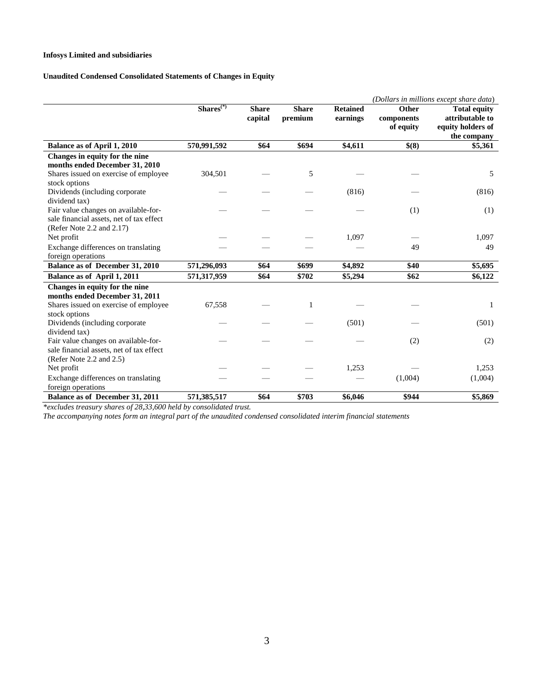## **Infosys Limited and subsidiaries**

## **Unaudited Condensed Consolidated Statements of Changes in Equity**

|                                          |             |                         |                         |                             |                                  | (Dollars in millions except share data)                     |
|------------------------------------------|-------------|-------------------------|-------------------------|-----------------------------|----------------------------------|-------------------------------------------------------------|
|                                          | $Shares(*)$ | <b>Share</b><br>capital | <b>Share</b><br>premium | <b>Retained</b><br>earnings | Other<br>components<br>of equity | <b>Total equity</b><br>attributable to<br>equity holders of |
|                                          |             |                         |                         |                             |                                  | the company                                                 |
| <b>Balance as of April 1, 2010</b>       | 570,991,592 | \$64                    | \$694                   | \$4,611                     | \$(8)                            | \$5,361                                                     |
| Changes in equity for the nine           |             |                         |                         |                             |                                  |                                                             |
| months ended December 31, 2010           |             |                         |                         |                             |                                  |                                                             |
| Shares issued on exercise of employee    | 304,501     |                         | 5                       |                             |                                  | 5                                                           |
| stock options                            |             |                         |                         |                             |                                  |                                                             |
| Dividends (including corporate)          |             |                         |                         | (816)                       |                                  | (816)                                                       |
| dividend tax)                            |             |                         |                         |                             |                                  |                                                             |
| Fair value changes on available-for-     |             |                         |                         |                             | (1)                              | (1)                                                         |
| sale financial assets, net of tax effect |             |                         |                         |                             |                                  |                                                             |
| (Refer Note 2.2 and 2.17)                |             |                         |                         |                             |                                  |                                                             |
| Net profit                               |             |                         |                         | 1,097                       |                                  | 1,097                                                       |
| Exchange differences on translating      |             |                         |                         |                             | 49                               | 49                                                          |
| foreign operations                       |             |                         |                         |                             |                                  |                                                             |
| Balance as of December 31, 2010          | 571,296,093 | \$64                    | \$699                   | \$4,892                     | \$40                             | \$5,695                                                     |
| Balance as of April 1, 2011              | 571,317,959 | \$64                    | \$702                   | \$5,294                     | \$62                             | \$6,122                                                     |
| Changes in equity for the nine           |             |                         |                         |                             |                                  |                                                             |
| months ended December 31, 2011           |             |                         |                         |                             |                                  |                                                             |
| Shares issued on exercise of employee    | 67,558      |                         | 1                       |                             |                                  | 1                                                           |
| stock options                            |             |                         |                         |                             |                                  |                                                             |
| Dividends (including corporate           |             |                         |                         | (501)                       |                                  | (501)                                                       |
| dividend tax)                            |             |                         |                         |                             |                                  |                                                             |
| Fair value changes on available-for-     |             |                         |                         |                             | (2)                              | (2)                                                         |
| sale financial assets, net of tax effect |             |                         |                         |                             |                                  |                                                             |
| (Refer Note 2.2 and 2.5)                 |             |                         |                         |                             |                                  |                                                             |
| Net profit                               |             |                         |                         | 1,253                       |                                  | 1,253                                                       |
| Exchange differences on translating      |             |                         |                         |                             | (1,004)                          | (1,004)                                                     |
| foreign operations                       |             |                         |                         |                             |                                  |                                                             |
| Balance as of December 31, 2011          | 571,385,517 | \$64                    | \$703                   | \$6,046                     | \$944                            | \$5,869                                                     |

*\*excludes treasury shares of 28,33,600 held by consolidated trust.*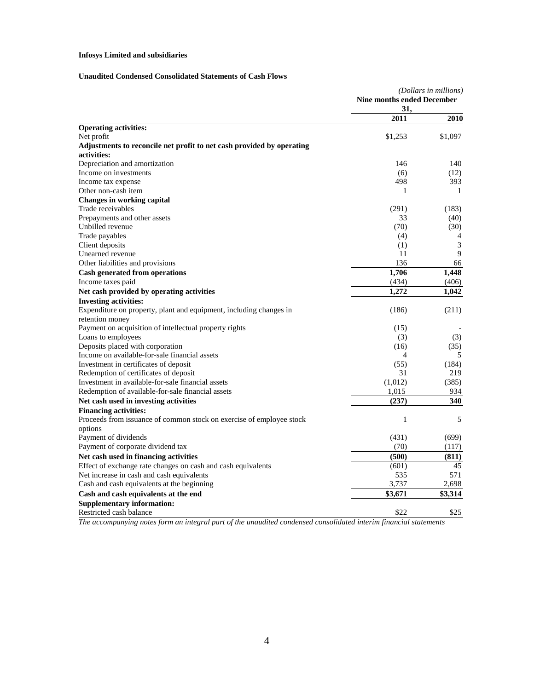# **Infosys Limited and subsidiaries**

## **Unaudited Condensed Consolidated Statements of Cash Flows**

|                                                                       |                                   | (Dollars in millions) |
|-----------------------------------------------------------------------|-----------------------------------|-----------------------|
|                                                                       | <b>Nine months ended December</b> |                       |
|                                                                       | 31,                               |                       |
|                                                                       | 2011                              | 2010                  |
| <b>Operating activities:</b>                                          |                                   |                       |
| Net profit                                                            | \$1,253                           | \$1,097               |
| Adjustments to reconcile net profit to net cash provided by operating |                                   |                       |
| activities:                                                           |                                   |                       |
| Depreciation and amortization                                         | 146                               | 140                   |
| Income on investments                                                 | (6)                               | (12)                  |
| Income tax expense                                                    | 498                               | 393                   |
| Other non-cash item                                                   | 1                                 | 1                     |
| <b>Changes in working capital</b>                                     |                                   |                       |
| Trade receivables                                                     | (291)                             | (183)                 |
| Prepayments and other assets                                          | 33                                | (40)                  |
| Unbilled revenue                                                      | (70)                              | (30)                  |
| Trade payables                                                        | (4)                               | 4                     |
| Client deposits                                                       | (1)                               | 3                     |
| Unearned revenue                                                      | 11                                | 9                     |
| Other liabilities and provisions                                      | 136                               | 66                    |
| <b>Cash generated from operations</b>                                 | 1,706                             | 1,448                 |
| Income taxes paid                                                     | (434)                             | (406)                 |
| Net cash provided by operating activities                             | 1,272                             | 1,042                 |
| <b>Investing activities:</b>                                          |                                   |                       |
| Expenditure on property, plant and equipment, including changes in    | (186)                             | (211)                 |
| retention money                                                       |                                   |                       |
| Payment on acquisition of intellectual property rights                | (15)                              |                       |
| Loans to employees                                                    | (3)                               | (3)                   |
| Deposits placed with corporation                                      | (16)                              | (35)                  |
| Income on available-for-sale financial assets                         | 4                                 | 5                     |
| Investment in certificates of deposit                                 | (55)                              | (184)                 |
| Redemption of certificates of deposit                                 | 31                                | 219                   |
| Investment in available-for-sale financial assets                     | (1,012)                           | (385)                 |
| Redemption of available-for-sale financial assets                     | 1,015                             | 934                   |
| Net cash used in investing activities                                 | (237)                             | 340                   |
| <b>Financing activities:</b>                                          |                                   |                       |
| Proceeds from issuance of common stock on exercise of employee stock  | $\mathbf{1}$                      | 5                     |
| options                                                               |                                   |                       |
| Payment of dividends                                                  | (431)                             | (699)                 |
| Payment of corporate dividend tax                                     | (70)                              | (117)                 |
| Net cash used in financing activities                                 | (500)                             | (811)                 |
|                                                                       |                                   | 45                    |
| Effect of exchange rate changes on cash and cash equivalents          | (601)<br>535                      | 571                   |
| Net increase in cash and cash equivalents                             |                                   |                       |
| Cash and cash equivalents at the beginning                            | 3,737                             | 2,698                 |
| Cash and cash equivalents at the end                                  | \$3,671                           | \$3,314               |
| <b>Supplementary information:</b>                                     |                                   |                       |
| Restricted cash balance                                               | \$22                              | \$25                  |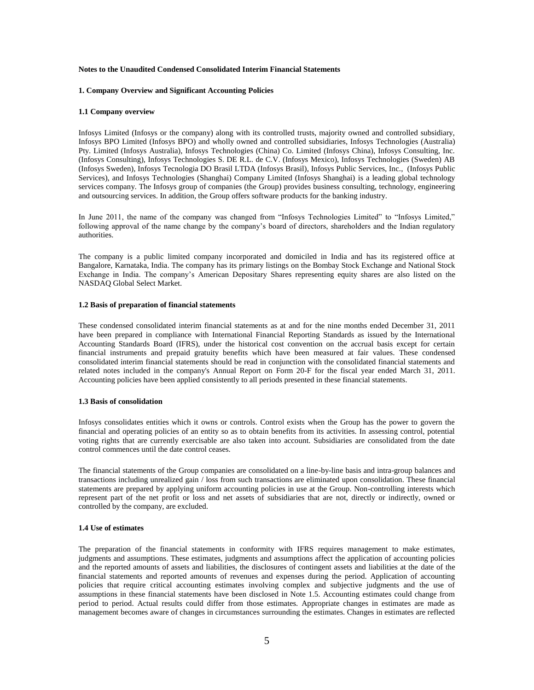#### **Notes to the Unaudited Condensed Consolidated Interim Financial Statements**

### **1. Company Overview and Significant Accounting Policies**

#### **1.1 Company overview**

Infosys Limited (Infosys or the company) along with its controlled trusts, majority owned and controlled subsidiary, Infosys BPO Limited (Infosys BPO) and wholly owned and controlled subsidiaries, Infosys Technologies (Australia) Pty. Limited (Infosys Australia), Infosys Technologies (China) Co. Limited (Infosys China), Infosys Consulting, Inc. (Infosys Consulting), Infosys Technologies S. DE R.L. de C.V. (Infosys Mexico), Infosys Technologies (Sweden) AB (Infosys Sweden), Infosys Tecnologia DO Brasil LTDA (Infosys Brasil), Infosys Public Services, Inc., (Infosys Public Services), and Infosys Technologies (Shanghai) Company Limited (Infosys Shanghai) is a leading global technology services company. The Infosys group of companies (the Group) provides business consulting, technology, engineering and outsourcing services. In addition, the Group offers software products for the banking industry.

In June 2011, the name of the company was changed from "Infosys Technologies Limited" to "Infosys Limited," following approval of the name change by the company"s board of directors, shareholders and the Indian regulatory authorities.

The company is a public limited company incorporated and domiciled in India and has its registered office at Bangalore, Karnataka, India. The company has its primary listings on the Bombay Stock Exchange and National Stock Exchange in India. The company"s American Depositary Shares representing equity shares are also listed on the NASDAQ Global Select Market.

## **1.2 Basis of preparation of financial statements**

These condensed consolidated interim financial statements as at and for the nine months ended December 31, 2011 have been prepared in compliance with International Financial Reporting Standards as issued by the International Accounting Standards Board (IFRS), under the historical cost convention on the accrual basis except for certain financial instruments and prepaid gratuity benefits which have been measured at fair values. These condensed consolidated interim financial statements should be read in conjunction with the consolidated financial statements and related notes included in the company's Annual Report on Form 20-F for the fiscal year ended March 31, 2011. Accounting policies have been applied consistently to all periods presented in these financial statements.

## **1.3 Basis of consolidation**

Infosys consolidates entities which it owns or controls. Control exists when the Group has the power to govern the financial and operating policies of an entity so as to obtain benefits from its activities. In assessing control, potential voting rights that are currently exercisable are also taken into account. Subsidiaries are consolidated from the date control commences until the date control ceases.

The financial statements of the Group companies are consolidated on a line-by-line basis and intra-group balances and transactions including unrealized gain / loss from such transactions are eliminated upon consolidation. These financial statements are prepared by applying uniform accounting policies in use at the Group. Non-controlling interests which represent part of the net profit or loss and net assets of subsidiaries that are not, directly or indirectly, owned or controlled by the company, are excluded.

## **1.4 Use of estimates**

The preparation of the financial statements in conformity with IFRS requires management to make estimates, judgments and assumptions. These estimates, judgments and assumptions affect the application of accounting policies and the reported amounts of assets and liabilities, the disclosures of contingent assets and liabilities at the date of the financial statements and reported amounts of revenues and expenses during the period. Application of accounting policies that require critical accounting estimates involving complex and subjective judgments and the use of assumptions in these financial statements have been disclosed in Note 1.5. Accounting estimates could change from period to period. Actual results could differ from those estimates. Appropriate changes in estimates are made as management becomes aware of changes in circumstances surrounding the estimates. Changes in estimates are reflected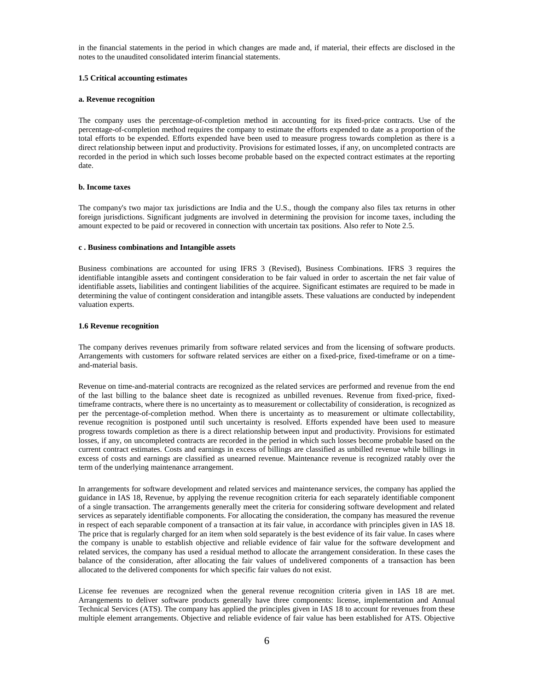in the financial statements in the period in which changes are made and, if material, their effects are disclosed in the notes to the unaudited consolidated interim financial statements.

## **1.5 Critical accounting estimates**

### **a. Revenue recognition**

The company uses the percentage-of-completion method in accounting for its fixed-price contracts. Use of the percentage-of-completion method requires the company to estimate the efforts expended to date as a proportion of the total efforts to be expended. Efforts expended have been used to measure progress towards completion as there is a direct relationship between input and productivity. Provisions for estimated losses, if any, on uncompleted contracts are recorded in the period in which such losses become probable based on the expected contract estimates at the reporting date.

## **b. Income taxes**

The company's two major tax jurisdictions are India and the U.S., though the company also files tax returns in other foreign jurisdictions. Significant judgments are involved in determining the provision for income taxes, including the amount expected to be paid or recovered in connection with uncertain tax positions. Also refer to Note 2.5.

#### **c . Business combinations and Intangible assets**

Business combinations are accounted for using IFRS 3 (Revised), Business Combinations. IFRS 3 requires the identifiable intangible assets and contingent consideration to be fair valued in order to ascertain the net fair value of identifiable assets, liabilities and contingent liabilities of the acquiree. Significant estimates are required to be made in determining the value of contingent consideration and intangible assets. These valuations are conducted by independent valuation experts.

#### **1.6 Revenue recognition**

The company derives revenues primarily from software related services and from the licensing of software products. Arrangements with customers for software related services are either on a fixed-price, fixed-timeframe or on a timeand-material basis.

Revenue on time-and-material contracts are recognized as the related services are performed and revenue from the end of the last billing to the balance sheet date is recognized as unbilled revenues. Revenue from fixed-price, fixedtimeframe contracts, where there is no uncertainty as to measurement or collectability of consideration, is recognized as per the percentage-of-completion method. When there is uncertainty as to measurement or ultimate collectability, revenue recognition is postponed until such uncertainty is resolved. Efforts expended have been used to measure progress towards completion as there is a direct relationship between input and productivity. Provisions for estimated losses, if any, on uncompleted contracts are recorded in the period in which such losses become probable based on the current contract estimates. Costs and earnings in excess of billings are classified as unbilled revenue while billings in excess of costs and earnings are classified as unearned revenue. Maintenance revenue is recognized ratably over the term of the underlying maintenance arrangement.

In arrangements for software development and related services and maintenance services, the company has applied the guidance in IAS 18, Revenue, by applying the revenue recognition criteria for each separately identifiable component of a single transaction. The arrangements generally meet the criteria for considering software development and related services as separately identifiable components. For allocating the consideration, the company has measured the revenue in respect of each separable component of a transaction at its fair value, in accordance with principles given in IAS 18. The price that is regularly charged for an item when sold separately is the best evidence of its fair value. In cases where the company is unable to establish objective and reliable evidence of fair value for the software development and related services, the company has used a residual method to allocate the arrangement consideration. In these cases the balance of the consideration, after allocating the fair values of undelivered components of a transaction has been allocated to the delivered components for which specific fair values do not exist.

License fee revenues are recognized when the general revenue recognition criteria given in IAS 18 are met. Arrangements to deliver software products generally have three components: license, implementation and Annual Technical Services (ATS). The company has applied the principles given in IAS 18 to account for revenues from these multiple element arrangements. Objective and reliable evidence of fair value has been established for ATS. Objective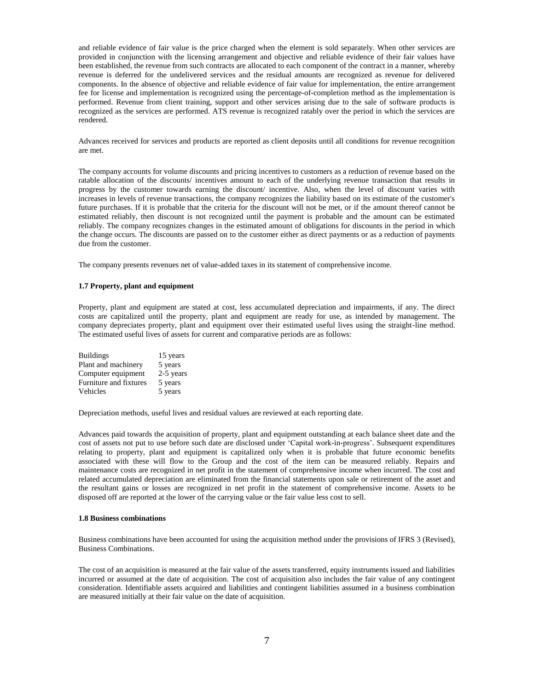and reliable evidence of fair value is the price charged when the element is sold separately. When other services are provided in conjunction with the licensing arrangement and objective and reliable evidence of their fair values have been established, the revenue from such contracts are allocated to each component of the contract in a manner, whereby revenue is deferred for the undelivered services and the residual amounts are recognized as revenue for delivered components. In the absence of objective and reliable evidence of fair value for implementation, the entire arrangement fee for license and implementation is recognized using the percentage-of-completion method as the implementation is performed. Revenue from client training, support and other services arising due to the sale of software products is recognized as the services are performed. ATS revenue is recognized ratably over the period in which the services are rendered.

Advances received for services and products are reported as client deposits until all conditions for revenue recognition are met.

The company accounts for volume discounts and pricing incentives to customers as a reduction of revenue based on the ratable allocation of the discounts/ incentives amount to each of the underlying revenue transaction that results in progress by the customer towards earning the discount/ incentive. Also, when the level of discount varies with increases in levels of revenue transactions, the company recognizes the liability based on its estimate of the customer's future purchases. If it is probable that the criteria for the discount will not be met, or if the amount thereof cannot be estimated reliably, then discount is not recognized until the payment is probable and the amount can be estimated reliably. The company recognizes changes in the estimated amount of obligations for discounts in the period in which the change occurs. The discounts are passed on to the customer either as direct payments or as a reduction of payments due from the customer.

The company presents revenues net of value-added taxes in its statement of comprehensive income.

## **1.7 Property, plant and equipment**

Property, plant and equipment are stated at cost, less accumulated depreciation and impairments, if any. The direct costs are capitalized until the property, plant and equipment are ready for use, as intended by management. The company depreciates property, plant and equipment over their estimated useful lives using the straight-line method. The estimated useful lives of assets for current and comparative periods are as follows:

| <b>Buildings</b>       | 15 years  |
|------------------------|-----------|
| Plant and machinery    | 5 years   |
| Computer equipment     | 2-5 years |
| Furniture and fixtures | 5 years   |
| Vehicles               | 5 years   |

Depreciation methods, useful lives and residual values are reviewed at each reporting date.

Advances paid towards the acquisition of property, plant and equipment outstanding at each balance sheet date and the cost of assets not put to use before such date are disclosed under "Capital work-in-progress". Subsequent expenditures relating to property, plant and equipment is capitalized only when it is probable that future economic benefits associated with these will flow to the Group and the cost of the item can be measured reliably. Repairs and maintenance costs are recognized in net profit in the statement of comprehensive income when incurred. The cost and related accumulated depreciation are eliminated from the financial statements upon sale or retirement of the asset and the resultant gains or losses are recognized in net profit in the statement of comprehensive income. Assets to be disposed off are reported at the lower of the carrying value or the fair value less cost to sell.

## **1.8 Business combinations**

Business combinations have been accounted for using the acquisition method under the provisions of IFRS 3 (Revised), Business Combinations.

The cost of an acquisition is measured at the fair value of the assets transferred, equity instruments issued and liabilities incurred or assumed at the date of acquisition. The cost of acquisition also includes the fair value of any contingent consideration. Identifiable assets acquired and liabilities and contingent liabilities assumed in a business combination are measured initially at their fair value on the date of acquisition.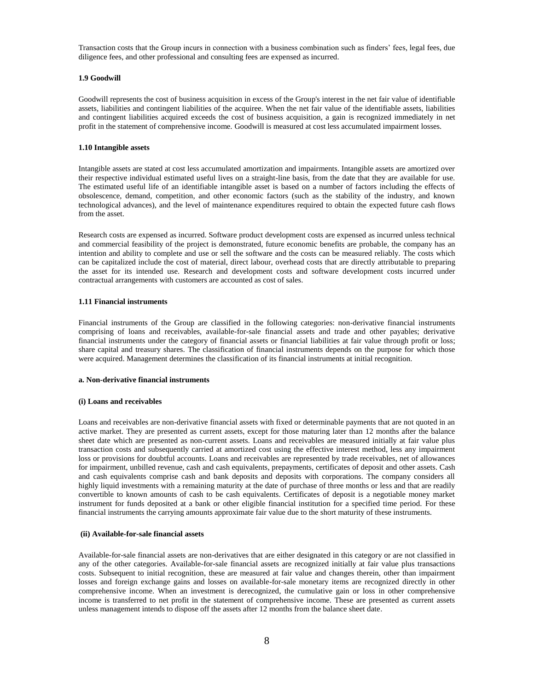Transaction costs that the Group incurs in connection with a business combination such as finders" fees, legal fees, due diligence fees, and other professional and consulting fees are expensed as incurred.

## **1.9 Goodwill**

Goodwill represents the cost of business acquisition in excess of the Group's interest in the net fair value of identifiable assets, liabilities and contingent liabilities of the acquiree. When the net fair value of the identifiable assets, liabilities and contingent liabilities acquired exceeds the cost of business acquisition, a gain is recognized immediately in net profit in the statement of comprehensive income. Goodwill is measured at cost less accumulated impairment losses.

## **1.10 Intangible assets**

Intangible assets are stated at cost less accumulated amortization and impairments. Intangible assets are amortized over their respective individual estimated useful lives on a straight-line basis, from the date that they are available for use. The estimated useful life of an identifiable intangible asset is based on a number of factors including the effects of obsolescence, demand, competition, and other economic factors (such as the stability of the industry, and known technological advances), and the level of maintenance expenditures required to obtain the expected future cash flows from the asset.

Research costs are expensed as incurred. Software product development costs are expensed as incurred unless technical and commercial feasibility of the project is demonstrated, future economic benefits are probable, the company has an intention and ability to complete and use or sell the software and the costs can be measured reliably. The costs which can be capitalized include the cost of material, direct labour, overhead costs that are directly attributable to preparing the asset for its intended use. Research and development costs and software development costs incurred under contractual arrangements with customers are accounted as cost of sales.

## **1.11 Financial instruments**

Financial instruments of the Group are classified in the following categories: non-derivative financial instruments comprising of loans and receivables, available-for-sale financial assets and trade and other payables; derivative financial instruments under the category of financial assets or financial liabilities at fair value through profit or loss; share capital and treasury shares. The classification of financial instruments depends on the purpose for which those were acquired. Management determines the classification of its financial instruments at initial recognition.

## **a. Non-derivative financial instruments**

#### **(i) Loans and receivables**

Loans and receivables are non-derivative financial assets with fixed or determinable payments that are not quoted in an active market. They are presented as current assets, except for those maturing later than 12 months after the balance sheet date which are presented as non-current assets. Loans and receivables are measured initially at fair value plus transaction costs and subsequently carried at amortized cost using the effective interest method, less any impairment loss or provisions for doubtful accounts. Loans and receivables are represented by trade receivables, net of allowances for impairment, unbilled revenue, cash and cash equivalents, prepayments, certificates of deposit and other assets. Cash and cash equivalents comprise cash and bank deposits and deposits with corporations. The company considers all highly liquid investments with a remaining maturity at the date of purchase of three months or less and that are readily convertible to known amounts of cash to be cash equivalents. Certificates of deposit is a negotiable money market instrument for funds deposited at a bank or other eligible financial institution for a specified time period. For these financial instruments the carrying amounts approximate fair value due to the short maturity of these instruments.

## **(ii) Available-for-sale financial assets**

Available-for-sale financial assets are non-derivatives that are either designated in this category or are not classified in any of the other categories. Available-for-sale financial assets are recognized initially at fair value plus transactions costs. Subsequent to initial recognition, these are measured at fair value and changes therein, other than impairment losses and foreign exchange gains and losses on available-for-sale monetary items are recognized directly in other comprehensive income. When an investment is derecognized, the cumulative gain or loss in other comprehensive income is transferred to net profit in the statement of comprehensive income. These are presented as current assets unless management intends to dispose off the assets after 12 months from the balance sheet date.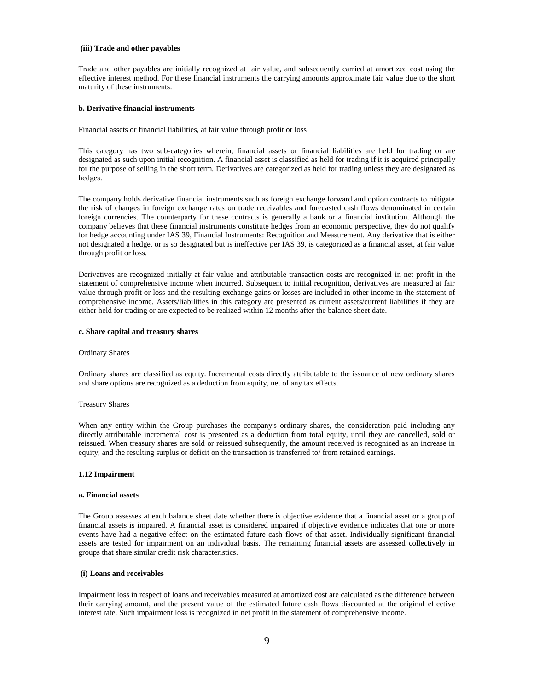#### **(iii) Trade and other payables**

Trade and other payables are initially recognized at fair value, and subsequently carried at amortized cost using the effective interest method. For these financial instruments the carrying amounts approximate fair value due to the short maturity of these instruments.

#### **b. Derivative financial instruments**

Financial assets or financial liabilities, at fair value through profit or loss

This category has two sub-categories wherein, financial assets or financial liabilities are held for trading or are designated as such upon initial recognition. A financial asset is classified as held for trading if it is acquired principally for the purpose of selling in the short term. Derivatives are categorized as held for trading unless they are designated as hedges.

The company holds derivative financial instruments such as foreign exchange forward and option contracts to mitigate the risk of changes in foreign exchange rates on trade receivables and forecasted cash flows denominated in certain foreign currencies. The counterparty for these contracts is generally a bank or a financial institution. Although the company believes that these financial instruments constitute hedges from an economic perspective, they do not qualify for hedge accounting under IAS 39, Financial Instruments: Recognition and Measurement. Any derivative that is either not designated a hedge, or is so designated but is ineffective per IAS 39, is categorized as a financial asset, at fair value through profit or loss.

Derivatives are recognized initially at fair value and attributable transaction costs are recognized in net profit in the statement of comprehensive income when incurred. Subsequent to initial recognition, derivatives are measured at fair value through profit or loss and the resulting exchange gains or losses are included in other income in the statement of comprehensive income. Assets/liabilities in this category are presented as current assets/current liabilities if they are either held for trading or are expected to be realized within 12 months after the balance sheet date.

#### **c. Share capital and treasury shares**

#### Ordinary Shares

Ordinary shares are classified as equity. Incremental costs directly attributable to the issuance of new ordinary shares and share options are recognized as a deduction from equity, net of any tax effects.

#### Treasury Shares

When any entity within the Group purchases the company's ordinary shares, the consideration paid including any directly attributable incremental cost is presented as a deduction from total equity, until they are cancelled, sold or reissued. When treasury shares are sold or reissued subsequently, the amount received is recognized as an increase in equity, and the resulting surplus or deficit on the transaction is transferred to/ from retained earnings.

## **1.12 Impairment**

#### **a. Financial assets**

The Group assesses at each balance sheet date whether there is objective evidence that a financial asset or a group of financial assets is impaired. A financial asset is considered impaired if objective evidence indicates that one or more events have had a negative effect on the estimated future cash flows of that asset. Individually significant financial assets are tested for impairment on an individual basis. The remaining financial assets are assessed collectively in groups that share similar credit risk characteristics.

## **(i) Loans and receivables**

Impairment loss in respect of loans and receivables measured at amortized cost are calculated as the difference between their carrying amount, and the present value of the estimated future cash flows discounted at the original effective interest rate. Such impairment loss is recognized in net profit in the statement of comprehensive income.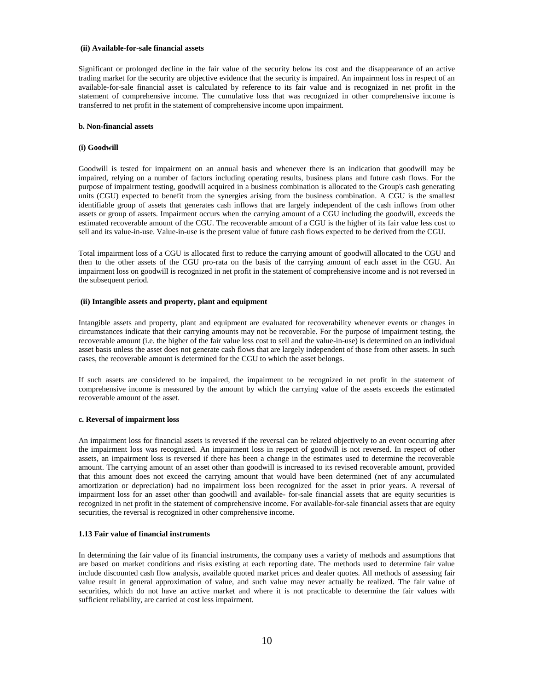#### **(ii) Available-for-sale financial assets**

Significant or prolonged decline in the fair value of the security below its cost and the disappearance of an active trading market for the security are objective evidence that the security is impaired. An impairment loss in respect of an available-for-sale financial asset is calculated by reference to its fair value and is recognized in net profit in the statement of comprehensive income. The cumulative loss that was recognized in other comprehensive income is transferred to net profit in the statement of comprehensive income upon impairment.

#### **b. Non-financial assets**

#### **(i) Goodwill**

Goodwill is tested for impairment on an annual basis and whenever there is an indication that goodwill may be impaired, relying on a number of factors including operating results, business plans and future cash flows. For the purpose of impairment testing, goodwill acquired in a business combination is allocated to the Group's cash generating units (CGU) expected to benefit from the synergies arising from the business combination. A CGU is the smallest identifiable group of assets that generates cash inflows that are largely independent of the cash inflows from other assets or group of assets. Impairment occurs when the carrying amount of a CGU including the goodwill, exceeds the estimated recoverable amount of the CGU. The recoverable amount of a CGU is the higher of its fair value less cost to sell and its value-in-use. Value-in-use is the present value of future cash flows expected to be derived from the CGU.

Total impairment loss of a CGU is allocated first to reduce the carrying amount of goodwill allocated to the CGU and then to the other assets of the CGU pro-rata on the basis of the carrying amount of each asset in the CGU. An impairment loss on goodwill is recognized in net profit in the statement of comprehensive income and is not reversed in the subsequent period.

## **(ii) Intangible assets and property, plant and equipment**

Intangible assets and property, plant and equipment are evaluated for recoverability whenever events or changes in circumstances indicate that their carrying amounts may not be recoverable. For the purpose of impairment testing, the recoverable amount (i.e. the higher of the fair value less cost to sell and the value-in-use) is determined on an individual asset basis unless the asset does not generate cash flows that are largely independent of those from other assets. In such cases, the recoverable amount is determined for the CGU to which the asset belongs.

If such assets are considered to be impaired, the impairment to be recognized in net profit in the statement of comprehensive income is measured by the amount by which the carrying value of the assets exceeds the estimated recoverable amount of the asset.

#### **c. Reversal of impairment loss**

An impairment loss for financial assets is reversed if the reversal can be related objectively to an event occurring after the impairment loss was recognized. An impairment loss in respect of goodwill is not reversed. In respect of other assets, an impairment loss is reversed if there has been a change in the estimates used to determine the recoverable amount. The carrying amount of an asset other than goodwill is increased to its revised recoverable amount, provided that this amount does not exceed the carrying amount that would have been determined (net of any accumulated amortization or depreciation) had no impairment loss been recognized for the asset in prior years. A reversal of impairment loss for an asset other than goodwill and available- for-sale financial assets that are equity securities is recognized in net profit in the statement of comprehensive income. For available-for-sale financial assets that are equity securities, the reversal is recognized in other comprehensive income.

## **1.13 Fair value of financial instruments**

In determining the fair value of its financial instruments, the company uses a variety of methods and assumptions that are based on market conditions and risks existing at each reporting date. The methods used to determine fair value include discounted cash flow analysis, available quoted market prices and dealer quotes. All methods of assessing fair value result in general approximation of value, and such value may never actually be realized. The fair value of securities, which do not have an active market and where it is not practicable to determine the fair values with sufficient reliability, are carried at cost less impairment.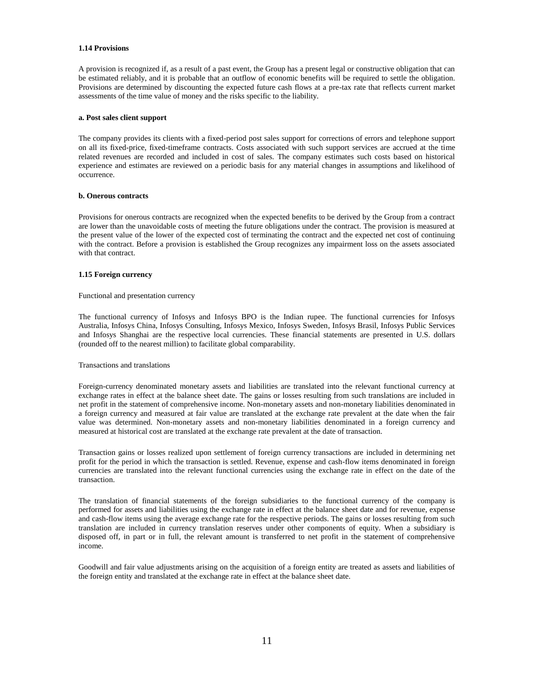### **1.14 Provisions**

A provision is recognized if, as a result of a past event, the Group has a present legal or constructive obligation that can be estimated reliably, and it is probable that an outflow of economic benefits will be required to settle the obligation. Provisions are determined by discounting the expected future cash flows at a pre-tax rate that reflects current market assessments of the time value of money and the risks specific to the liability.

#### **a. Post sales client support**

The company provides its clients with a fixed-period post sales support for corrections of errors and telephone support on all its fixed-price, fixed-timeframe contracts. Costs associated with such support services are accrued at the time related revenues are recorded and included in cost of sales. The company estimates such costs based on historical experience and estimates are reviewed on a periodic basis for any material changes in assumptions and likelihood of occurrence.

## **b. Onerous contracts**

Provisions for onerous contracts are recognized when the expected benefits to be derived by the Group from a contract are lower than the unavoidable costs of meeting the future obligations under the contract. The provision is measured at the present value of the lower of the expected cost of terminating the contract and the expected net cost of continuing with the contract. Before a provision is established the Group recognizes any impairment loss on the assets associated with that contract.

## **1.15 Foreign currency**

#### Functional and presentation currency

The functional currency of Infosys and Infosys BPO is the Indian rupee. The functional currencies for Infosys Australia, Infosys China, Infosys Consulting, Infosys Mexico, Infosys Sweden, Infosys Brasil, Infosys Public Services and Infosys Shanghai are the respective local currencies. These financial statements are presented in U.S. dollars (rounded off to the nearest million) to facilitate global comparability.

Transactions and translations

Foreign-currency denominated monetary assets and liabilities are translated into the relevant functional currency at exchange rates in effect at the balance sheet date. The gains or losses resulting from such translations are included in net profit in the statement of comprehensive income. Non-monetary assets and non-monetary liabilities denominated in a foreign currency and measured at fair value are translated at the exchange rate prevalent at the date when the fair value was determined. Non-monetary assets and non-monetary liabilities denominated in a foreign currency and measured at historical cost are translated at the exchange rate prevalent at the date of transaction.

Transaction gains or losses realized upon settlement of foreign currency transactions are included in determining net profit for the period in which the transaction is settled. Revenue, expense and cash-flow items denominated in foreign currencies are translated into the relevant functional currencies using the exchange rate in effect on the date of the transaction.

The translation of financial statements of the foreign subsidiaries to the functional currency of the company is performed for assets and liabilities using the exchange rate in effect at the balance sheet date and for revenue, expense and cash-flow items using the average exchange rate for the respective periods. The gains or losses resulting from such translation are included in currency translation reserves under other components of equity. When a subsidiary is disposed off, in part or in full, the relevant amount is transferred to net profit in the statement of comprehensive income.

Goodwill and fair value adjustments arising on the acquisition of a foreign entity are treated as assets and liabilities of the foreign entity and translated at the exchange rate in effect at the balance sheet date.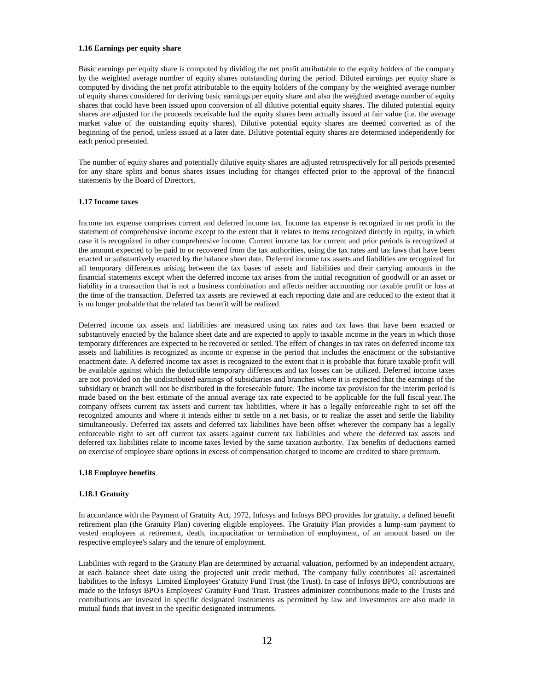#### **1.16 Earnings per equity share**

Basic earnings per equity share is computed by dividing the net profit attributable to the equity holders of the company by the weighted average number of equity shares outstanding during the period. Diluted earnings per equity share is computed by dividing the net profit attributable to the equity holders of the company by the weighted average number of equity shares considered for deriving basic earnings per equity share and also the weighted average number of equity shares that could have been issued upon conversion of all dilutive potential equity shares. The diluted potential equity shares are adjusted for the proceeds receivable had the equity shares been actually issued at fair value (i.e. the average market value of the outstanding equity shares). Dilutive potential equity shares are deemed converted as of the beginning of the period, unless issued at a later date. Dilutive potential equity shares are determined independently for each period presented.

The number of equity shares and potentially dilutive equity shares are adjusted retrospectively for all periods presented for any share splits and bonus shares issues including for changes effected prior to the approval of the financial statements by the Board of Directors.

#### **1.17 Income taxes**

Income tax expense comprises current and deferred income tax. Income tax expense is recognized in net profit in the statement of comprehensive income except to the extent that it relates to items recognized directly in equity, in which case it is recognized in other comprehensive income. Current income tax for current and prior periods is recognized at the amount expected to be paid to or recovered from the tax authorities, using the tax rates and tax laws that have been enacted or substantively enacted by the balance sheet date. Deferred income tax assets and liabilities are recognized for all temporary differences arising between the tax bases of assets and liabilities and their carrying amounts in the financial statements except when the deferred income tax arises from the initial recognition of goodwill or an asset or liability in a transaction that is not a business combination and affects neither accounting nor taxable profit or loss at the time of the transaction. Deferred tax assets are reviewed at each reporting date and are reduced to the extent that it is no longer probable that the related tax benefit will be realized.

Deferred income tax assets and liabilities are measured using tax rates and tax laws that have been enacted or substantively enacted by the balance sheet date and are expected to apply to taxable income in the years in which those temporary differences are expected to be recovered or settled. The effect of changes in tax rates on deferred income tax assets and liabilities is recognized as income or expense in the period that includes the enactment or the substantive enactment date. A deferred income tax asset is recognized to the extent that it is probable that future taxable profit will be available against which the deductible temporary differences and tax losses can be utilized. Deferred income taxes are not provided on the undistributed earnings of subsidiaries and branches where it is expected that the earnings of the subsidiary or branch will not be distributed in the foreseeable future. The income tax provision for the interim period is made based on the best estimate of the annual average tax rate expected to be applicable for the full fiscal year.The company offsets current tax assets and current tax liabilities, where it has a legally enforceable right to set off the recognized amounts and where it intends either to settle on a net basis, or to realize the asset and settle the liability simultaneously. Deferred tax assets and deferred tax liabilities have been offset wherever the company has a legally enforceable right to set off current tax assets against current tax liabilities and where the deferred tax assets and deferred tax liabilities relate to income taxes levied by the same taxation authority. Tax benefits of deductions earned on exercise of employee share options in excess of compensation charged to income are credited to share premium.

## **1.18 Employee benefits**

#### **1.18.1 Gratuity**

In accordance with the Payment of Gratuity Act, 1972, Infosys and Infosys BPO provides for gratuity, a defined benefit retirement plan (the Gratuity Plan) covering eligible employees. The Gratuity Plan provides a lump-sum payment to vested employees at retirement, death, incapacitation or termination of employment, of an amount based on the respective employee's salary and the tenure of employment.

Liabilities with regard to the Gratuity Plan are determined by actuarial valuation, performed by an independent actuary, at each balance sheet date using the projected unit credit method. The company fully contributes all ascertained liabilities to the Infosys Limited Employees' Gratuity Fund Trust (the Trust). In case of Infosys BPO, contributions are made to the Infosys BPO's Employees' Gratuity Fund Trust. Trustees administer contributions made to the Trusts and contributions are invested in specific designated instruments as permitted by law and investments are also made in mutual funds that invest in the specific designated instruments.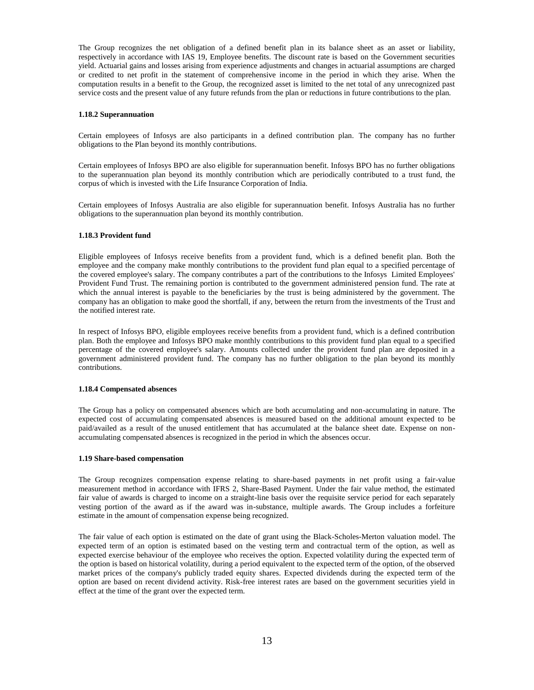The Group recognizes the net obligation of a defined benefit plan in its balance sheet as an asset or liability, respectively in accordance with IAS 19, Employee benefits. The discount rate is based on the Government securities yield. Actuarial gains and losses arising from experience adjustments and changes in actuarial assumptions are charged or credited to net profit in the statement of comprehensive income in the period in which they arise. When the computation results in a benefit to the Group, the recognized asset is limited to the net total of any unrecognized past service costs and the present value of any future refunds from the plan or reductions in future contributions to the plan.

### **1.18.2 Superannuation**

Certain employees of Infosys are also participants in a defined contribution plan. The company has no further obligations to the Plan beyond its monthly contributions.

Certain employees of Infosys BPO are also eligible for superannuation benefit. Infosys BPO has no further obligations to the superannuation plan beyond its monthly contribution which are periodically contributed to a trust fund, the corpus of which is invested with the Life Insurance Corporation of India.

Certain employees of Infosys Australia are also eligible for superannuation benefit. Infosys Australia has no further obligations to the superannuation plan beyond its monthly contribution.

## **1.18.3 Provident fund**

Eligible employees of Infosys receive benefits from a provident fund, which is a defined benefit plan. Both the employee and the company make monthly contributions to the provident fund plan equal to a specified percentage of the covered employee's salary. The company contributes a part of the contributions to the Infosys Limited Employees' Provident Fund Trust. The remaining portion is contributed to the government administered pension fund. The rate at which the annual interest is payable to the beneficiaries by the trust is being administered by the government. The company has an obligation to make good the shortfall, if any, between the return from the investments of the Trust and the notified interest rate.

In respect of Infosys BPO, eligible employees receive benefits from a provident fund, which is a defined contribution plan. Both the employee and Infosys BPO make monthly contributions to this provident fund plan equal to a specified percentage of the covered employee's salary. Amounts collected under the provident fund plan are deposited in a government administered provident fund. The company has no further obligation to the plan beyond its monthly contributions.

## **1.18.4 Compensated absences**

The Group has a policy on compensated absences which are both accumulating and non-accumulating in nature. The expected cost of accumulating compensated absences is measured based on the additional amount expected to be paid/availed as a result of the unused entitlement that has accumulated at the balance sheet date. Expense on nonaccumulating compensated absences is recognized in the period in which the absences occur.

## **1.19 Share-based compensation**

The Group recognizes compensation expense relating to share-based payments in net profit using a fair-value measurement method in accordance with IFRS 2, Share-Based Payment. Under the fair value method, the estimated fair value of awards is charged to income on a straight-line basis over the requisite service period for each separately vesting portion of the award as if the award was in-substance, multiple awards. The Group includes a forfeiture estimate in the amount of compensation expense being recognized.

The fair value of each option is estimated on the date of grant using the Black-Scholes-Merton valuation model. The expected term of an option is estimated based on the vesting term and contractual term of the option, as well as expected exercise behaviour of the employee who receives the option. Expected volatility during the expected term of the option is based on historical volatility, during a period equivalent to the expected term of the option, of the observed market prices of the company's publicly traded equity shares. Expected dividends during the expected term of the option are based on recent dividend activity. Risk-free interest rates are based on the government securities yield in effect at the time of the grant over the expected term.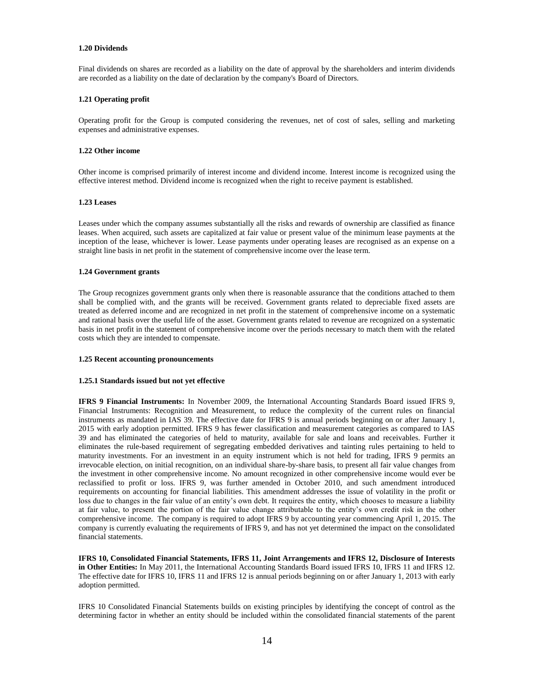#### **1.20 Dividends**

Final dividends on shares are recorded as a liability on the date of approval by the shareholders and interim dividends are recorded as a liability on the date of declaration by the company's Board of Directors.

## **1.21 Operating profit**

Operating profit for the Group is computed considering the revenues, net of cost of sales, selling and marketing expenses and administrative expenses.

#### **1.22 Other income**

Other income is comprised primarily of interest income and dividend income. Interest income is recognized using the effective interest method. Dividend income is recognized when the right to receive payment is established.

#### **1.23 Leases**

Leases under which the company assumes substantially all the risks and rewards of ownership are classified as finance leases. When acquired, such assets are capitalized at fair value or present value of the minimum lease payments at the inception of the lease, whichever is lower. Lease payments under operating leases are recognised as an expense on a straight line basis in net profit in the statement of comprehensive income over the lease term.

## **1.24 Government grants**

The Group recognizes government grants only when there is reasonable assurance that the conditions attached to them shall be complied with, and the grants will be received. Government grants related to depreciable fixed assets are treated as deferred income and are recognized in net profit in the statement of comprehensive income on a systematic and rational basis over the useful life of the asset. Government grants related to revenue are recognized on a systematic basis in net profit in the statement of comprehensive income over the periods necessary to match them with the related costs which they are intended to compensate.

## **1.25 Recent accounting pronouncements**

#### **1.25.1 Standards issued but not yet effective**

**IFRS 9 Financial Instruments:** In November 2009, the International Accounting Standards Board issued IFRS 9, Financial Instruments: Recognition and Measurement, to reduce the complexity of the current rules on financial instruments as mandated in IAS 39. The effective date for IFRS 9 is annual periods beginning on or after January 1, 2015 with early adoption permitted. IFRS 9 has fewer classification and measurement categories as compared to IAS 39 and has eliminated the categories of held to maturity, available for sale and loans and receivables. Further it eliminates the rule-based requirement of segregating embedded derivatives and tainting rules pertaining to held to maturity investments. For an investment in an equity instrument which is not held for trading, IFRS 9 permits an irrevocable election, on initial recognition, on an individual share-by-share basis, to present all fair value changes from the investment in other comprehensive income. No amount recognized in other comprehensive income would ever be reclassified to profit or loss. IFRS 9, was further amended in October 2010, and such amendment introduced requirements on accounting for financial liabilities. This amendment addresses the issue of volatility in the profit or loss due to changes in the fair value of an entity's own debt. It requires the entity, which chooses to measure a liability at fair value, to present the portion of the fair value change attributable to the entity"s own credit risk in the other comprehensive income. The company is required to adopt IFRS 9 by accounting year commencing April 1, 2015. The company is currently evaluating the requirements of IFRS 9, and has not yet determined the impact on the consolidated financial statements.

**IFRS 10, Consolidated Financial Statements, IFRS 11, Joint Arrangements and IFRS 12, Disclosure of Interests in Other Entities:** In May 2011, the International Accounting Standards Board issued IFRS 10, IFRS 11 and IFRS 12. The effective date for IFRS 10, IFRS 11 and IFRS 12 is annual periods beginning on or after January 1, 2013 with early adoption permitted.

IFRS 10 Consolidated Financial Statements builds on existing principles by identifying the concept of control as the determining factor in whether an entity should be included within the consolidated financial statements of the parent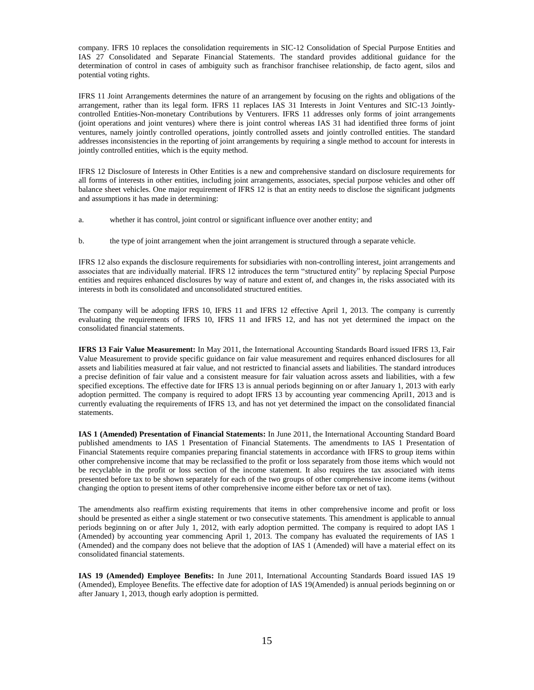company. IFRS 10 replaces the consolidation requirements in SIC-12 Consolidation of Special Purpose Entities and IAS 27 Consolidated and Separate Financial Statements. The standard provides additional guidance for the determination of control in cases of ambiguity such as franchisor franchisee relationship, de facto agent, silos and potential voting rights.

IFRS 11 Joint Arrangements determines the nature of an arrangement by focusing on the rights and obligations of the arrangement, rather than its legal form. IFRS 11 replaces IAS 31 Interests in Joint Ventures and SIC-13 Jointlycontrolled Entities-Non-monetary Contributions by Venturers. IFRS 11 addresses only forms of joint arrangements (joint operations and joint ventures) where there is joint control whereas IAS 31 had identified three forms of joint ventures, namely jointly controlled operations, jointly controlled assets and jointly controlled entities. The standard addresses inconsistencies in the reporting of joint arrangements by requiring a single method to account for interests in jointly controlled entities, which is the equity method.

IFRS 12 Disclosure of Interests in Other Entities is a new and comprehensive standard on disclosure requirements for all forms of interests in other entities, including joint arrangements, associates, special purpose vehicles and other off balance sheet vehicles. One major requirement of IFRS 12 is that an entity needs to disclose the significant judgments and assumptions it has made in determining:

- a. whether it has control, joint control or significant influence over another entity; and
- b. the type of joint arrangement when the joint arrangement is structured through a separate vehicle.

IFRS 12 also expands the disclosure requirements for subsidiaries with non-controlling interest, joint arrangements and associates that are individually material. IFRS 12 introduces the term "structured entity" by replacing Special Purpose entities and requires enhanced disclosures by way of nature and extent of, and changes in, the risks associated with its interests in both its consolidated and unconsolidated structured entities.

The company will be adopting IFRS 10, IFRS 11 and IFRS 12 effective April 1, 2013. The company is currently evaluating the requirements of IFRS 10, IFRS 11 and IFRS 12, and has not yet determined the impact on the consolidated financial statements.

**IFRS 13 Fair Value Measurement:** In May 2011, the International Accounting Standards Board issued IFRS 13, Fair Value Measurement to provide specific guidance on fair value measurement and requires enhanced disclosures for all assets and liabilities measured at fair value, and not restricted to financial assets and liabilities. The standard introduces a precise definition of fair value and a consistent measure for fair valuation across assets and liabilities, with a few specified exceptions. The effective date for IFRS 13 is annual periods beginning on or after January 1, 2013 with early adoption permitted. The company is required to adopt IFRS 13 by accounting year commencing April1, 2013 and is currently evaluating the requirements of IFRS 13, and has not yet determined the impact on the consolidated financial statements.

**IAS 1 (Amended) Presentation of Financial Statements:** In June 2011, the International Accounting Standard Board published amendments to IAS 1 Presentation of Financial Statements. The amendments to IAS 1 Presentation of Financial Statements require companies preparing financial statements in accordance with IFRS to group items within other comprehensive income that may be reclassified to the profit or loss separately from those items which would not be recyclable in the profit or loss section of the income statement. It also requires the tax associated with items presented before tax to be shown separately for each of the two groups of other comprehensive income items (without changing the option to present items of other comprehensive income either before tax or net of tax).

The amendments also reaffirm existing requirements that items in other comprehensive income and profit or loss should be presented as either a single statement or two consecutive statements. This amendment is applicable to annual periods beginning on or after July 1, 2012, with early adoption permitted. The company is required to adopt IAS 1 (Amended) by accounting year commencing April 1, 2013. The company has evaluated the requirements of IAS 1 (Amended) and the company does not believe that the adoption of IAS 1 (Amended) will have a material effect on its consolidated financial statements.

**IAS 19 (Amended) Employee Benefits:** In June 2011, International Accounting Standards Board issued IAS 19 (Amended), Employee Benefits. The effective date for adoption of IAS 19(Amended) is annual periods beginning on or after January 1, 2013, though early adoption is permitted.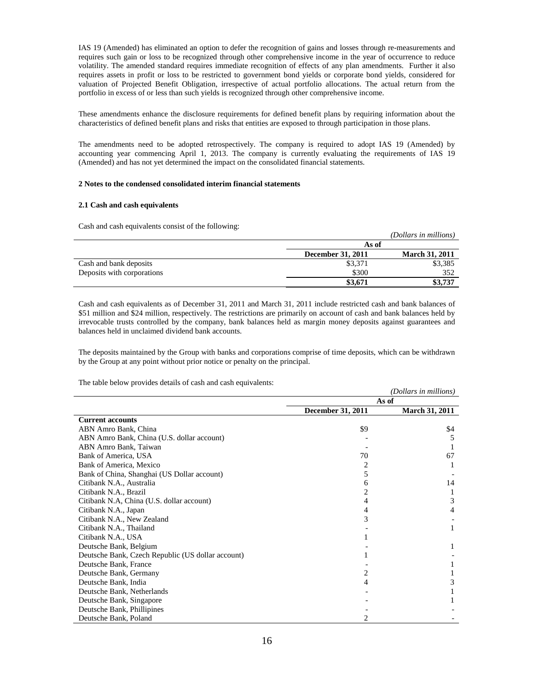IAS 19 (Amended) has eliminated an option to defer the recognition of gains and losses through re-measurements and requires such gain or loss to be recognized through other comprehensive income in the year of occurrence to reduce volatility. The amended standard requires immediate recognition of effects of any plan amendments. Further it also requires assets in profit or loss to be restricted to government bond yields or corporate bond yields, considered for valuation of Projected Benefit Obligation, irrespective of actual portfolio allocations. The actual return from the portfolio in excess of or less than such yields is recognized through other comprehensive income.

These amendments enhance the disclosure requirements for defined benefit plans by requiring information about the characteristics of defined benefit plans and risks that entities are exposed to through participation in those plans.

The amendments need to be adopted retrospectively. The company is required to adopt IAS 19 (Amended) by accounting year commencing April 1, 2013. The company is currently evaluating the requirements of IAS 19 (Amended) and has not yet determined the impact on the consolidated financial statements.

#### **2 Notes to the condensed consolidated interim financial statements**

## **2.1 Cash and cash equivalents**

Cash and cash equivalents consist of the following:

| capit and vapit vegat (around voliding of the rollo ((lig) |                   | (Dollars in millions) |
|------------------------------------------------------------|-------------------|-----------------------|
|                                                            | As of             |                       |
|                                                            | December 31, 2011 | <b>March 31, 2011</b> |
| Cash and bank deposits                                     | \$3,371           | \$3,385               |
| Deposits with corporations                                 | \$300             | 352                   |
|                                                            | \$3,671           | \$3,737               |

Cash and cash equivalents as of December 31, 2011 and March 31, 2011 include restricted cash and bank balances of \$51 million and \$24 million, respectively. The restrictions are primarily on account of cash and bank balances held by irrevocable trusts controlled by the company, bank balances held as margin money deposits against guarantees and balances held in unclaimed dividend bank accounts.

The deposits maintained by the Group with banks and corporations comprise of time deposits, which can be withdrawn by the Group at any point without prior notice or penalty on the principal.

The table below provides details of cash and cash equivalents:

|                                                   |                          | (Dollars in millions) |
|---------------------------------------------------|--------------------------|-----------------------|
|                                                   |                          | As of                 |
|                                                   | <b>December 31, 2011</b> | <b>March 31, 2011</b> |
| <b>Current accounts</b>                           |                          |                       |
| ABN Amro Bank, China                              | \$9                      | \$4                   |
| ABN Amro Bank, China (U.S. dollar account)        |                          |                       |
| ABN Amro Bank, Taiwan                             |                          |                       |
| Bank of America, USA                              | 70                       | 67                    |
| Bank of America, Mexico                           | 2                        |                       |
| Bank of China, Shanghai (US Dollar account)       | 5                        |                       |
| Citibank N.A., Australia                          | 6                        | 14                    |
| Citibank N.A., Brazil                             | 2                        |                       |
| Citibank N.A, China (U.S. dollar account)         | 4                        | 3                     |
| Citibank N.A., Japan                              | 4                        | 4                     |
| Citibank N.A., New Zealand                        | 3                        |                       |
| Citibank N.A., Thailand                           |                          |                       |
| Citibank N.A., USA                                |                          |                       |
| Deutsche Bank, Belgium                            |                          |                       |
| Deutsche Bank, Czech Republic (US dollar account) |                          |                       |
| Deutsche Bank, France                             |                          |                       |
| Deutsche Bank, Germany                            | 2                        |                       |
| Deutsche Bank, India                              | 4                        |                       |
| Deutsche Bank, Netherlands                        |                          |                       |
| Deutsche Bank, Singapore                          |                          |                       |
| Deutsche Bank, Phillipines                        |                          |                       |
| Deutsche Bank, Poland                             |                          |                       |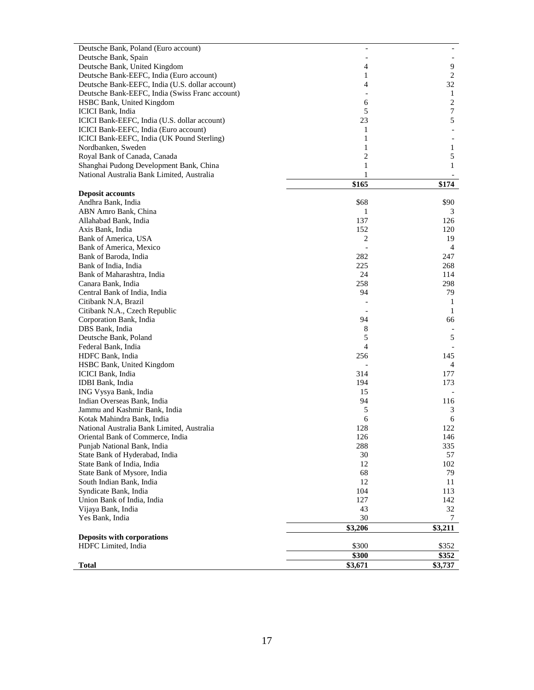| Deutsche Bank, Poland (Euro account)            |                |                  |
|-------------------------------------------------|----------------|------------------|
| Deutsche Bank, Spain                            |                |                  |
| Deutsche Bank, United Kingdom                   | 4              | 9                |
| Deutsche Bank-EEFC, India (Euro account)        | 1              | 2                |
| Deutsche Bank-EEFC, India (U.S. dollar account) | 4              | 32               |
| Deutsche Bank-EEFC, India (Swiss Franc account) |                | 1                |
| HSBC Bank, United Kingdom                       | 6              | $\boldsymbol{2}$ |
| ICICI Bank, India                               | 5              | 7                |
| ICICI Bank-EEFC, India (U.S. dollar account)    | 23             | 5                |
| ICICI Bank-EEFC, India (Euro account)           | 1              |                  |
| ICICI Bank-EEFC, India (UK Pound Sterling)      | $\mathbf{1}$   |                  |
| Nordbanken, Sweden                              | 1              | 1                |
| Royal Bank of Canada, Canada                    | 2              | 5                |
| Shanghai Pudong Development Bank, China         | 1              | 1                |
| National Australia Bank Limited, Australia      | 1              |                  |
|                                                 | \$165          | \$174            |
| <b>Deposit accounts</b>                         |                |                  |
| Andhra Bank, India                              | \$68           | \$90             |
| ABN Amro Bank, China                            | 1              | 3                |
| Allahabad Bank, India                           | 137            | 126              |
| Axis Bank, India                                | 152            | 120              |
| Bank of America, USA                            | 2              | 19               |
| Bank of America, Mexico                         |                | 4                |
| Bank of Baroda, India                           | 282            | 247              |
| Bank of India, India                            | 225            | 268              |
| Bank of Maharashtra, India                      | 24             | 114              |
| Canara Bank, India                              | 258            | 298              |
| Central Bank of India, India                    | 94             | 79               |
| Citibank N.A, Brazil                            |                | 1                |
| Citibank N.A., Czech Republic                   |                | $\mathbf{1}$     |
| Corporation Bank, India                         | 94             | 66               |
| DBS Bank, India                                 | 8              |                  |
| Deutsche Bank, Poland                           | 5              | 5                |
| Federal Bank, India                             | $\overline{4}$ |                  |
| HDFC Bank, India                                | 256            | 145              |
| HSBC Bank, United Kingdom                       |                | 4                |
| ICICI Bank, India                               | 314            | 177              |
| IDBI Bank, India                                | 194            | 173              |
| ING Vysya Bank, India                           | 15             |                  |
| Indian Overseas Bank, India                     | 94             | 116              |
| Jammu and Kashmir Bank, India                   | 5              | 3                |
| Kotak Mahindra Bank, India                      | 6              | 6                |
| National Australia Bank Limited, Australia      | 128            | 122              |
| Oriental Bank of Commerce, India                | 126            | 146              |
| Punjab National Bank, India                     | 288            | 335              |
| State Bank of Hyderabad, India                  | 30             | 57               |
| State Bank of India, India                      | 12             | 102              |
| State Bank of Mysore, India                     | 68             | 79               |
| South Indian Bank, India                        | 12             | 11               |
| Syndicate Bank, India                           | 104            | 113              |
| Union Bank of India, India                      | 127            | 142              |
| Vijaya Bank, India                              | 43             | 32               |
| Yes Bank, India                                 | 30             | 7                |
|                                                 | \$3,206        | \$3,211          |
| Deposits with corporations                      |                | \$352            |
| HDFC Limited, India                             | \$300          |                  |
|                                                 | \$300          | \$352            |
| <b>Total</b>                                    | \$3,671        | \$3,737          |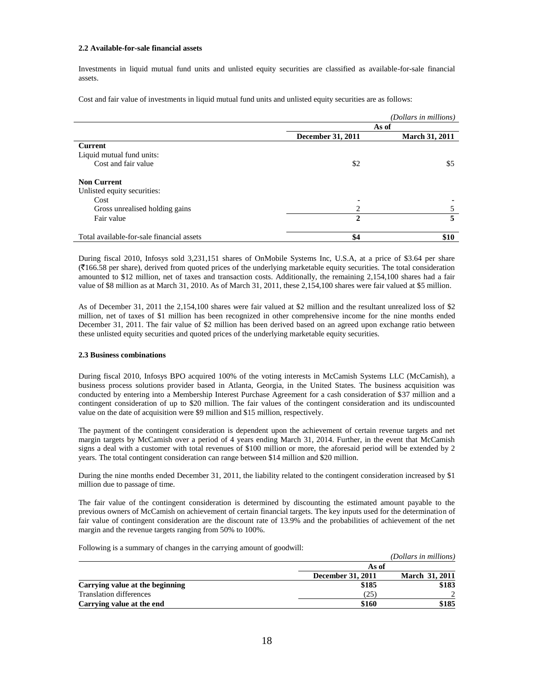#### **2.2 Available-for-sale financial assets**

Investments in liquid mutual fund units and unlisted equity securities are classified as available-for-sale financial assets.

Cost and fair value of investments in liquid mutual fund units and unlisted equity securities are as follows:

|                                           |                   | (Dollars in millions) |
|-------------------------------------------|-------------------|-----------------------|
|                                           |                   | As of                 |
|                                           | December 31, 2011 | <b>March 31, 2011</b> |
| <b>Current</b>                            |                   |                       |
| Liquid mutual fund units:                 |                   |                       |
| Cost and fair value                       | \$2               | \$5                   |
| <b>Non Current</b>                        |                   |                       |
| Unlisted equity securities:               |                   |                       |
| Cost                                      |                   |                       |
| Gross unrealised holding gains            | 2                 |                       |
| Fair value                                | $\mathbf{2}$      | 5                     |
| Total available-for-sale financial assets | \$4               | \$10                  |

During fiscal 2010, Infosys sold 3,231,151 shares of OnMobile Systems Inc, U.S.A, at a price of \$3.64 per share (`166.58 per share), derived from quoted prices of the underlying marketable equity securities. The total consideration amounted to \$12 million, net of taxes and transaction costs. Additionally, the remaining 2,154,100 shares had a fair value of \$8 million as at March 31, 2010. As of March 31, 2011, these 2,154,100 shares were fair valued at \$5 million.

As of December 31, 2011 the 2,154,100 shares were fair valued at \$2 million and the resultant unrealized loss of \$2 million, net of taxes of \$1 million has been recognized in other comprehensive income for the nine months ended December 31, 2011. The fair value of \$2 million has been derived based on an agreed upon exchange ratio between these unlisted equity securities and quoted prices of the underlying marketable equity securities.

## **2.3 Business combinations**

During fiscal 2010, Infosys BPO acquired 100% of the voting interests in McCamish Systems LLC (McCamish), a business process solutions provider based in Atlanta, Georgia, in the United States. The business acquisition was conducted by entering into a Membership Interest Purchase Agreement for a cash consideration of \$37 million and a contingent consideration of up to \$20 million. The fair values of the contingent consideration and its undiscounted value on the date of acquisition were \$9 million and \$15 million, respectively.

The payment of the contingent consideration is dependent upon the achievement of certain revenue targets and net margin targets by McCamish over a period of 4 years ending March 31, 2014. Further, in the event that McCamish signs a deal with a customer with total revenues of \$100 million or more, the aforesaid period will be extended by 2 years. The total contingent consideration can range between \$14 million and \$20 million.

During the nine months ended December 31, 2011, the liability related to the contingent consideration increased by \$1 million due to passage of time.

The fair value of the contingent consideration is determined by discounting the estimated amount payable to the previous owners of McCamish on achievement of certain financial targets. The key inputs used for the determination of fair value of contingent consideration are the discount rate of 13.9% and the probabilities of achievement of the net margin and the revenue targets ranging from 50% to 100%.

Following is a summary of changes in the carrying amount of goodwill:

|                                 |                   | (Dollars in millions) |
|---------------------------------|-------------------|-----------------------|
|                                 | As of             |                       |
|                                 | December 31, 2011 | March 31, 2011        |
| Carrying value at the beginning | \$185             | \$183                 |
| Translation differences         | (25)              |                       |
| Carrying value at the end       | \$160             | \$185                 |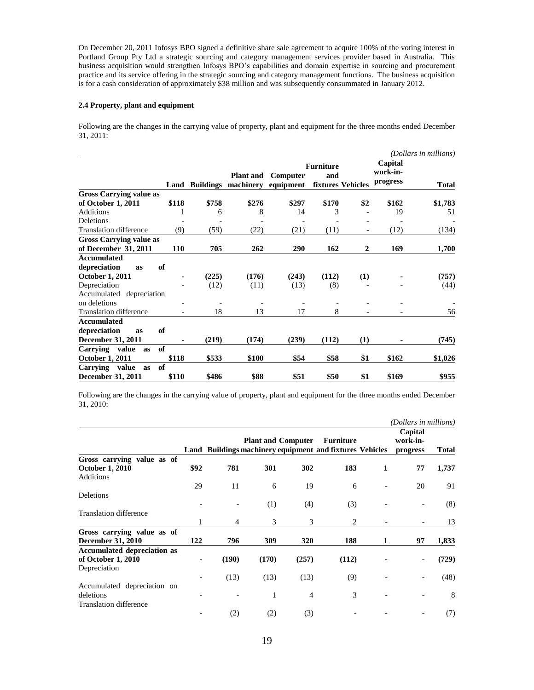On December 20, 2011 Infosys BPO signed a definitive share sale agreement to acquire 100% of the voting interest in Portland Group Pty Ltd a strategic sourcing and category management services provider based in Australia. This business acquisition would strengthen Infosys BPO"s capabilities and domain expertise in sourcing and procurement practice and its service offering in the strategic sourcing and category management functions. The business acquisition is for a cash consideration of approximately \$38 million and was subsequently consummated in January 2012.

## **2.4 Property, plant and equipment**

Following are the changes in the carrying value of property, plant and equipment for the three months ended December 31, 2011:

|                                                        |       |       |                                                     |                       |                         |                   |                                 | (Dollars in millions) |
|--------------------------------------------------------|-------|-------|-----------------------------------------------------|-----------------------|-------------------------|-------------------|---------------------------------|-----------------------|
|                                                        |       |       | <b>Plant</b> and<br><b>Land Buildings machinery</b> | Computer<br>equipment | <b>Furniture</b><br>and | fixtures Vehicles | Capital<br>work-in-<br>progress | <b>Total</b>          |
| <b>Gross Carrying value as</b>                         |       |       |                                                     |                       |                         |                   |                                 |                       |
| of October 1, 2011                                     | \$118 | \$758 | \$276                                               | \$297                 | \$170                   | \$2               | \$162                           | \$1,783               |
| Additions                                              | 1     | 6     | 8                                                   | 14                    | 3                       |                   | 19                              | 51                    |
| Deletions                                              |       |       |                                                     |                       |                         |                   |                                 |                       |
| <b>Translation difference</b>                          | (9)   | (59)  | (22)                                                | (21)                  | (11)                    |                   | (12)                            | (134)                 |
| <b>Gross Carrying value as</b><br>of December 31, 2011 | 110   | 705   | 262                                                 | 290                   | 162                     | $\overline{2}$    | 169                             | 1,700                 |
| <b>Accumulated</b>                                     |       |       |                                                     |                       |                         |                   |                                 |                       |
| depreciation<br>as                                     | of    |       |                                                     |                       |                         |                   |                                 |                       |
| <b>October 1, 2011</b>                                 |       | (225) | (176)                                               | (243)                 | (112)                   | (1)               |                                 | (757)                 |
| Depreciation                                           |       | (12)  | (11)                                                | (13)                  | (8)                     |                   |                                 | (44)                  |
| Accumulated depreciation                               |       |       |                                                     |                       |                         |                   |                                 |                       |
| on deletions                                           |       |       |                                                     |                       |                         |                   |                                 |                       |
| <b>Translation difference</b>                          |       | 18    | 13                                                  | 17                    | 8                       |                   |                                 | 56                    |
| Accumulated                                            |       |       |                                                     |                       |                         |                   |                                 |                       |
| depreciation<br><b>as</b>                              | of    |       |                                                     |                       |                         |                   |                                 |                       |
| <b>December 31, 2011</b>                               |       | (219) | (174)                                               | (239)                 | (112)                   | (1)               |                                 | (745)                 |
| Carrying value<br><b>as</b>                            | of    |       |                                                     |                       |                         |                   |                                 |                       |
| <b>October 1, 2011</b>                                 | \$118 | \$533 | \$100                                               | \$54                  | \$58                    | \$1               | \$162                           | \$1,026               |
| Carrying value<br><b>as</b>                            | of    |       |                                                     |                       |                         |                   |                                 |                       |
| December 31, 2011                                      | \$110 | \$486 | \$88                                                | \$51                  | \$50                    | \$1               | \$169                           | \$955                 |

Following are the changes in the carrying value of property, plant and equipment for the three months ended December 31, 2010:

|                                            |      |       |       |                           |                                                                              |   | (Dollars in millions)           |       |
|--------------------------------------------|------|-------|-------|---------------------------|------------------------------------------------------------------------------|---|---------------------------------|-------|
|                                            |      |       |       | <b>Plant and Computer</b> | <b>Furniture</b><br>Land Buildings machinery equipment and fixtures Vehicles |   | Capital<br>work-in-<br>progress | Total |
| Gross carrying value as of                 |      |       |       |                           |                                                                              |   |                                 |       |
| <b>October 1, 2010</b><br><b>Additions</b> | \$92 | 781   | 301   | 302                       | 183                                                                          | 1 | 77                              | 1,737 |
|                                            | 29   | 11    | 6     | 19                        | 6                                                                            |   | 20                              | 91    |
| Deletions                                  |      |       | (1)   | (4)                       | (3)                                                                          |   |                                 | (8)   |
| <b>Translation difference</b>              | 1    | 4     | 3     | 3                         | 2                                                                            |   |                                 | 13    |
| Gross carrying value as of                 |      |       |       |                           |                                                                              |   |                                 |       |
| <b>December 31, 2010</b>                   | 122  | 796   | 309   | 320                       | 188                                                                          | 1 | 97                              | 1,833 |
| <b>Accumulated depreciation as</b>         |      |       |       |                           |                                                                              |   |                                 |       |
| of October 1, 2010<br>Depreciation         |      | (190) | (170) | (257)                     | (112)                                                                        |   |                                 | (729) |
|                                            |      | (13)  | (13)  | (13)                      | (9)                                                                          |   |                                 | (48)  |
| Accumulated depreciation on                |      |       |       |                           |                                                                              |   |                                 |       |
| deletions                                  |      |       | 1     | $\overline{4}$            | 3                                                                            |   |                                 | 8     |
| <b>Translation difference</b>              |      |       |       |                           |                                                                              |   |                                 |       |
|                                            |      | (2)   | (2)   | (3)                       |                                                                              |   |                                 | (7)   |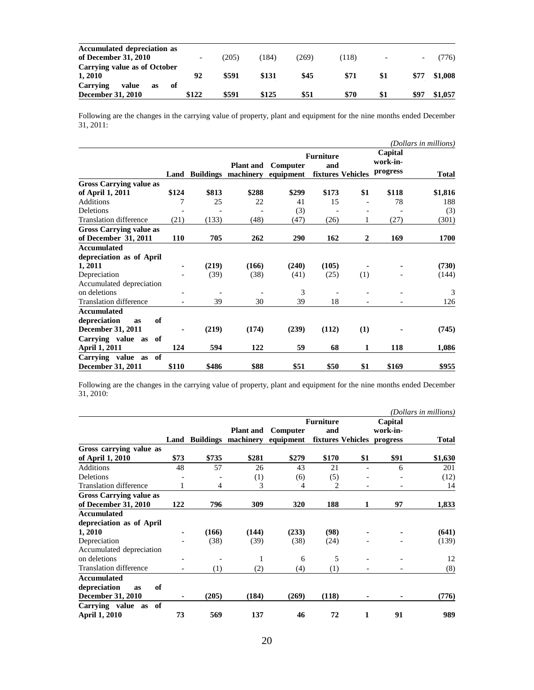| <b>Accumulated depreciation as</b> |       |               |       |      |      |     |         |
|------------------------------------|-------|---------------|-------|------|------|-----|---------|
| of December 31, 2010               |       | $205^{\circ}$ | 184)  | 269  | [118 |     | 76)     |
| Carrying value as of October       |       |               |       |      |      |     |         |
| 1,2010                             | 92    | \$591         | \$131 | \$45 | \$71 |     | \$1,008 |
| Carrying<br>value<br>-of<br>as     |       |               |       |      |      |     |         |
| <b>December 31, 2010</b>           | \$122 | \$591         | \$125 | \$51 | \$70 | \$1 | \$1,057 |

Following are the changes in the carrying value of property, plant and equipment for the nine months ended December 31, 2011:

|                                |       |       |                                                     |                       |                         |                   |                                 | (Dollars in millions) |
|--------------------------------|-------|-------|-----------------------------------------------------|-----------------------|-------------------------|-------------------|---------------------------------|-----------------------|
|                                |       |       | <b>Plant and</b><br><b>Land Buildings machinery</b> | Computer<br>equipment | <b>Furniture</b><br>and | fixtures Vehicles | Capital<br>work-in-<br>progress | <b>Total</b>          |
| <b>Gross Carrying value as</b> |       |       |                                                     |                       |                         |                   |                                 |                       |
| of April 1, 2011               | \$124 | \$813 | \$288                                               | \$299                 | \$173                   | \$1               | \$118                           | \$1,816               |
| Additions                      | 7     | 25    | 22                                                  | 41                    | 15                      |                   | 78                              | 188                   |
| Deletions                      |       |       |                                                     | (3)                   |                         |                   |                                 | (3)                   |
| <b>Translation difference</b>  | (21)  | (133) | (48)                                                | (47)                  | (26)                    | 1                 | (27)                            | (301)                 |
| <b>Gross Carrying value as</b> |       |       |                                                     |                       |                         |                   |                                 |                       |
| of December 31, 2011           | 110   | 705   | 262                                                 | 290                   | 162                     | $\mathbf{2}$      | 169                             | 1700                  |
| <b>Accumulated</b>             |       |       |                                                     |                       |                         |                   |                                 |                       |
| depreciation as of April       |       |       |                                                     |                       |                         |                   |                                 |                       |
| 1, 2011                        | ۰     | (219) | (166)                                               | (240)                 | (105)                   |                   |                                 | (730)                 |
| Depreciation                   |       | (39)  | (38)                                                | (41)                  | (25)                    | (1)               |                                 | (144)                 |
| Accumulated depreciation       |       |       |                                                     |                       |                         |                   |                                 |                       |
| on deletions                   |       |       |                                                     | 3                     |                         |                   |                                 | 3                     |
| <b>Translation difference</b>  |       | 39    | 30                                                  | 39                    | 18                      |                   |                                 | 126                   |
| Accumulated                    |       |       |                                                     |                       |                         |                   |                                 |                       |
| of<br>depreciation<br>as       |       |       |                                                     |                       |                         |                   |                                 |                       |
| December 31, 2011              |       | (219) | (174)                                               | (239)                 | (112)                   | (1)               |                                 | (745)                 |
| of<br>Carrying value as        |       |       |                                                     |                       |                         |                   |                                 |                       |
| <b>April 1, 2011</b>           | 124   | 594   | 122                                                 | 59                    | 68                      | 1                 | 118                             | 1,086                 |
| Carrying value as<br>of        |       |       |                                                     |                       |                         |                   |                                 |                       |
| December 31, 2011              | \$110 | \$486 | \$88                                                | \$51                  | \$50                    | \$1               | \$169                           | \$955                 |

Following are the changes in the carrying value of property, plant and equipment for the nine months ended December 31, 2010:

|                                |      |       |                            |           |                  |                   |          | (Dollars in millions) |
|--------------------------------|------|-------|----------------------------|-----------|------------------|-------------------|----------|-----------------------|
|                                |      |       |                            |           | <b>Furniture</b> |                   | Capital  |                       |
|                                |      |       | <b>Plant and</b>           | Computer  | and              |                   | work-in- |                       |
|                                | Land |       | <b>Buildings machinery</b> | equipment |                  | fixtures Vehicles | progress | Total                 |
| Gross carrying value as        |      |       |                            |           |                  |                   |          |                       |
| of April 1, 2010               | \$73 | \$735 | \$281                      | \$279     | \$170            | \$1               | \$91     | \$1,630               |
| Additions                      | 48   | 57    | 26                         | 43        | 21               | ٠                 | 6        | 201                   |
| Deletions                      |      |       | (1)                        | (6)       | (5)              |                   |          | (12)                  |
| <b>Translation difference</b>  | 1    | 4     | 3                          | 4         | $\overline{c}$   |                   |          | 14                    |
| <b>Gross Carrying value as</b> |      |       |                            |           |                  |                   |          |                       |
| of December 31, 2010           | 122  | 796   | 309                        | 320       | 188              | 1                 | 97       | 1,833                 |
| <b>Accumulated</b>             |      |       |                            |           |                  |                   |          |                       |
| depreciation as of April       |      |       |                            |           |                  |                   |          |                       |
| 1, 2010                        |      | (166) | (144)                      | (233)     | (98)             |                   |          | (641)                 |
| Depreciation                   |      | (38)  | (39)                       | (38)      | (24)             |                   |          | (139)                 |
| Accumulated depreciation       |      |       |                            |           |                  |                   |          |                       |
| on deletions                   |      |       | 1                          | 6         | 5                |                   |          | 12                    |
| <b>Translation difference</b>  |      | (1)   | (2)                        | (4)       | (1)              |                   |          | (8)                   |
| Accumulated                    |      |       |                            |           |                  |                   |          |                       |
| depreciation<br>of<br>as       |      |       |                            |           |                  |                   |          |                       |
| December 31, 2010              |      | (205) | (184)                      | (269)     | (118)            |                   |          | (776)                 |
| of<br>Carrying value as        |      |       |                            |           |                  |                   |          |                       |
| <b>April 1, 2010</b>           | 73   | 569   | 137                        | 46        | 72               |                   | 91       | 989                   |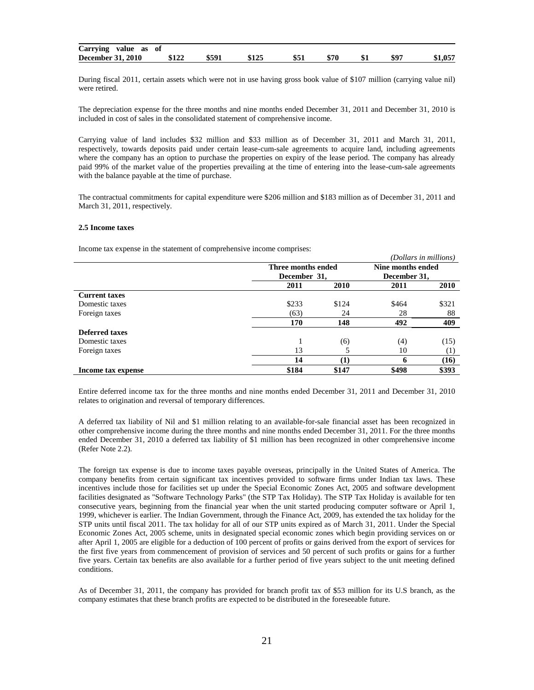| Carrying value<br>as of  |       |       |      |      |     |      |         |
|--------------------------|-------|-------|------|------|-----|------|---------|
| <b>December 31, 2010</b> | \$122 | \$591 | \$51 | \$70 | \$1 | \$97 | \$1,057 |

During fiscal 2011, certain assets which were not in use having gross book value of \$107 million (carrying value nil) were retired.

The depreciation expense for the three months and nine months ended December 31, 2011 and December 31, 2010 is included in cost of sales in the consolidated statement of comprehensive income.

Carrying value of land includes \$32 million and \$33 million as of December 31, 2011 and March 31, 2011, respectively, towards deposits paid under certain lease-cum-sale agreements to acquire land, including agreements where the company has an option to purchase the properties on expiry of the lease period. The company has already paid 99% of the market value of the properties prevailing at the time of entering into the lease-cum-sale agreements with the balance payable at the time of purchase.

The contractual commitments for capital expenditure were \$206 million and \$183 million as of December 31, 2011 and March 31, 2011, respectively.

#### **2.5 Income taxes**

Income tax expense in the statement of comprehensive income comprises:

|                       |                    |             |                   | (Dollars in millions) |
|-----------------------|--------------------|-------------|-------------------|-----------------------|
|                       | Three months ended |             | Nine months ended |                       |
|                       | December 31,       |             | December 31,      |                       |
|                       | 2011               | <b>2010</b> | 2011              | <b>2010</b>           |
| <b>Current taxes</b>  |                    |             |                   |                       |
| Domestic taxes        | \$233              | \$124       | \$464             | \$321                 |
| Foreign taxes         | (63)               | 24          | 28                | 88                    |
|                       | 170                | 148         | 492               | 409                   |
| <b>Deferred taxes</b> |                    |             |                   |                       |
| Domestic taxes        |                    | (6)         | (4)               | (15)                  |
| Foreign taxes         | 13                 |             | 10                | (1)                   |
|                       | 14                 | $\bf (1)$   | 6                 | (16)                  |
| Income tax expense    | \$184              | \$147       | \$498             | \$393                 |

Entire deferred income tax for the three months and nine months ended December 31, 2011 and December 31, 2010 relates to origination and reversal of temporary differences.

A deferred tax liability of Nil and \$1 million relating to an available-for-sale financial asset has been recognized in other comprehensive income during the three months and nine months ended December 31, 2011. For the three months ended December 31, 2010 a deferred tax liability of \$1 million has been recognized in other comprehensive income (Refer Note 2.2).

The foreign tax expense is due to income taxes payable overseas, principally in the United States of America. The company benefits from certain significant tax incentives provided to software firms under Indian tax laws. These incentives include those for facilities set up under the Special Economic Zones Act, 2005 and software development facilities designated as "Software Technology Parks" (the STP Tax Holiday). The STP Tax Holiday is available for ten consecutive years, beginning from the financial year when the unit started producing computer software or April 1, 1999, whichever is earlier. The Indian Government, through the Finance Act, 2009, has extended the tax holiday for the STP units until fiscal 2011. The tax holiday for all of our STP units expired as of March 31, 2011. Under the Special Economic Zones Act, 2005 scheme, units in designated special economic zones which begin providing services on or after April 1, 2005 are eligible for a deduction of 100 percent of profits or gains derived from the export of services for the first five years from commencement of provision of services and 50 percent of such profits or gains for a further five years. Certain tax benefits are also available for a further period of five years subject to the unit meeting defined conditions.

As of December 31, 2011, the company has provided for branch profit tax of \$53 million for its U.S branch, as the company estimates that these branch profits are expected to be distributed in the foreseeable future.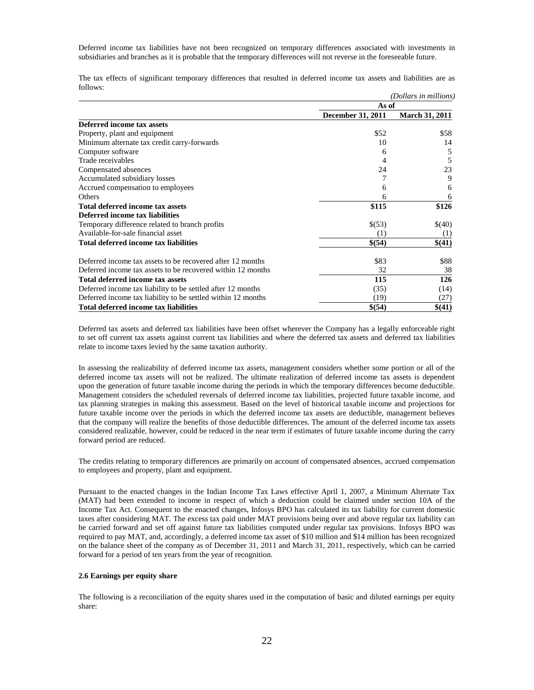Deferred income tax liabilities have not been recognized on temporary differences associated with investments in subsidiaries and branches as it is probable that the temporary differences will not reverse in the foreseeable future.

The tax effects of significant temporary differences that resulted in deferred income tax assets and liabilities are as follows:

|                                                              |                   | (Dollars in millions) |
|--------------------------------------------------------------|-------------------|-----------------------|
|                                                              | As of             |                       |
|                                                              | December 31, 2011 | <b>March 31, 2011</b> |
| Deferred income tax assets                                   |                   |                       |
| Property, plant and equipment                                | \$52              | \$58                  |
| Minimum alternate tax credit carry-forwards                  | 10                | 14                    |
| Computer software                                            | 6                 | 5                     |
| Trade receivables                                            | 4                 | 5                     |
| Compensated absences                                         | 24                | 23                    |
| Accumulated subsidiary losses                                |                   | 9                     |
| Accrued compensation to employees                            | 6                 | 6                     |
| <b>Others</b>                                                | 6                 | 6                     |
| Total deferred income tax assets                             | \$115             | \$126                 |
| Deferred income tax liabilities                              |                   |                       |
| Temporary difference related to branch profits               | \$(53)            | \$(40)                |
| Available-for-sale financial asset                           | (1)               | (1)                   |
| Total deferred income tax liabilities                        | \$(54)            | \$(41)                |
| Deferred income tax assets to be recovered after 12 months   | \$83              | \$88                  |
| Deferred income tax assets to be recovered within 12 months  | 32                | 38                    |
| <b>Total deferred income tax assets</b>                      | 115               | 126                   |
| Deferred income tax liability to be settled after 12 months  | (35)              | (14)                  |
| Deferred income tax liability to be settled within 12 months | (19)              | (27)                  |
| Total deferred income tax liabilities                        | \$(54)            | \$(41)                |

Deferred tax assets and deferred tax liabilities have been offset wherever the Company has a legally enforceable right to set off current tax assets against current tax liabilities and where the deferred tax assets and deferred tax liabilities relate to income taxes levied by the same taxation authority.

In assessing the realizability of deferred income tax assets, management considers whether some portion or all of the deferred income tax assets will not be realized. The ultimate realization of deferred income tax assets is dependent upon the generation of future taxable income during the periods in which the temporary differences become deductible. Management considers the scheduled reversals of deferred income tax liabilities, projected future taxable income, and tax planning strategies in making this assessment. Based on the level of historical taxable income and projections for future taxable income over the periods in which the deferred income tax assets are deductible, management believes that the company will realize the benefits of those deductible differences. The amount of the deferred income tax assets considered realizable, however, could be reduced in the near term if estimates of future taxable income during the carry forward period are reduced.

The credits relating to temporary differences are primarily on account of compensated absences, accrued compensation to employees and property, plant and equipment.

Pursuant to the enacted changes in the Indian Income Tax Laws effective April 1, 2007, a Minimum Alternate Tax (MAT) had been extended to income in respect of which a deduction could be claimed under section 10A of the Income Tax Act. Consequent to the enacted changes, Infosys BPO has calculated its tax liability for current domestic taxes after considering MAT. The excess tax paid under MAT provisions being over and above regular tax liability can be carried forward and set off against future tax liabilities computed under regular tax provisions. Infosys BPO was required to pay MAT, and, accordingly, a deferred income tax asset of \$10 million and \$14 million has been recognized on the balance sheet of the company as of December 31, 2011 and March 31, 2011, respectively, which can be carried forward for a period of ten years from the year of recognition.

## **2.6 Earnings per equity share**

The following is a reconciliation of the equity shares used in the computation of basic and diluted earnings per equity share: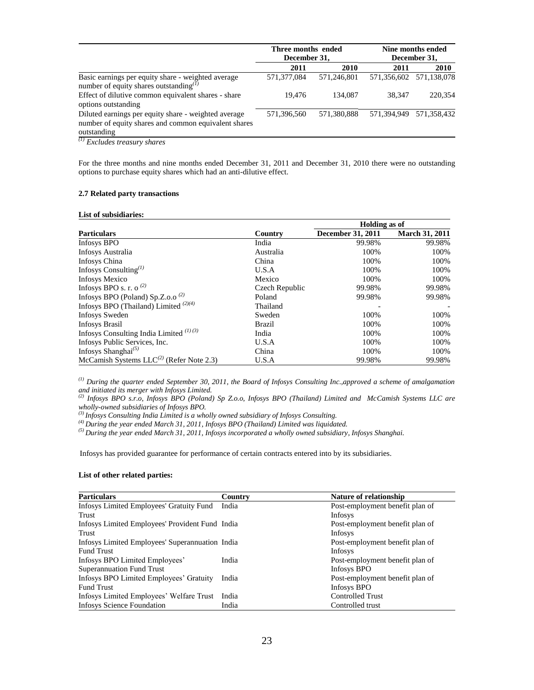|                                                                                                                                                      | Three months ended |             | Nine months ended<br>December 31, |                         |  |
|------------------------------------------------------------------------------------------------------------------------------------------------------|--------------------|-------------|-----------------------------------|-------------------------|--|
|                                                                                                                                                      | December 31,       |             |                                   |                         |  |
|                                                                                                                                                      | 2011               | 2010        | 2011                              | <b>2010</b>             |  |
| Basic earnings per equity share - weighted average<br>number of equity shares outstanding $^{(1)}$                                                   | 571,377,084        | 571,246,801 |                                   | 571,356,602 571,138,078 |  |
| Effect of dilutive common equivalent shares - share<br>options outstanding                                                                           | 19.476             | 134,087     | 38.347                            | 220,354                 |  |
| Diluted earnings per equity share - weighted average<br>number of equity shares and common equivalent shares<br>outstanding<br>$(1)$ r $(1)$ r $(2)$ | 571.396.560        | 571,380,888 | 571.394.949                       | 571.358.432             |  |

*(1) Excludes treasury shares*

For the three months and nine months ended December 31, 2011 and December 31, 2010 there were no outstanding options to purchase equity shares which had an anti-dilutive effect.

## **2.7 Related party transactions**

## **List of subsidiaries:**

|                                                           |                | Holding as of     |                       |  |  |
|-----------------------------------------------------------|----------------|-------------------|-----------------------|--|--|
| <b>Particulars</b>                                        | Country        | December 31, 2011 | <b>March 31, 2011</b> |  |  |
| Infosys BPO                                               | India          | 99.98%            | 99.98%                |  |  |
| Infosys Australia                                         | Australia      | 100%              | 100%                  |  |  |
| Infosys China                                             | China          | 100%              | 100%                  |  |  |
| Infosys Consulting $(1)$                                  | U.S.A          | 100%              | 100%                  |  |  |
| <b>Infosys Mexico</b>                                     | Mexico         | 100%              | 100%                  |  |  |
| Infosys BPO s. r. o <sup>(2)</sup>                        | Czech Republic | 99.98%            | 99.98%                |  |  |
| Infosys BPO (Poland) Sp.Z.o.o <sup><math>(2)</math></sup> | Poland         | 99.98%            | 99.98%                |  |  |
| Infosys BPO (Thailand) Limited $(2)(4)$                   | Thailand       |                   |                       |  |  |
| <b>Infosys Sweden</b>                                     | Sweden         | 100%              | 100%                  |  |  |
| <b>Infosys Brasil</b>                                     | <b>Brazil</b>  | 100%              | 100%                  |  |  |
| Infosys Consulting India Limited $^{(1)(3)}$              | India          | 100%              | 100%                  |  |  |
| Infosys Public Services, Inc.                             | U.S.A          | 100%              | 100%                  |  |  |
| Infosys Shanghai <sup>(5)</sup>                           | China          | 100%              | 100%                  |  |  |
| McCamish Systems $LLC^{(2)}$ (Refer Note 2.3)             | U.S.A          | 99.98%            | 99.98%                |  |  |

*(1) During the quarter ended September 30, 2011, the Board of Infosys Consulting Inc.,approved a scheme of amalgamation and initiated its merger with Infosys Limited.*

*(2) Infosys BPO s.r.o, Infosys BPO (Poland) Sp Z.o.o, Infosys BPO (Thailand) Limited and McCamish Systems LLC are wholly-owned subsidiaries of Infosys BPO.*

*(3) Infosys Consulting India Limited is a wholly owned subsidiary of Infosys Consulting.*

*(4) During the year ended March 31, 2011, Infosys BPO (Thailand) Limited was liquidated.*

*(5) During the year ended March 31, 2011, Infosys incorporated a wholly owned subsidiary, Infosys Shanghai.*

Infosys has provided guarantee for performance of certain contracts entered into by its subsidiaries.

## **List of other related parties:**

| <b>Particulars</b>                              | Country | <b>Nature of relationship</b>   |
|-------------------------------------------------|---------|---------------------------------|
| Infosys Limited Employees' Gratuity Fund        | India   | Post-employment benefit plan of |
| Trust                                           |         | Infosys                         |
| Infosys Limited Employees' Provident Fund India |         | Post-employment benefit plan of |
| Trust                                           |         | Infosys                         |
| Infosys Limited Employees' Superannuation India |         | Post-employment benefit plan of |
| <b>Fund Trust</b>                               |         | Infosys                         |
| Infosys BPO Limited Employees'                  | India   | Post-employment benefit plan of |
| <b>Superannuation Fund Trust</b>                |         | Infosys BPO                     |
| Infosys BPO Limited Employees' Gratuity         | India   | Post-employment benefit plan of |
| <b>Fund Trust</b>                               |         | Infosys BPO                     |
| Infosys Limited Employees' Welfare Trust        | India   | <b>Controlled Trust</b>         |
| <b>Infosys Science Foundation</b>               | India   | Controlled trust                |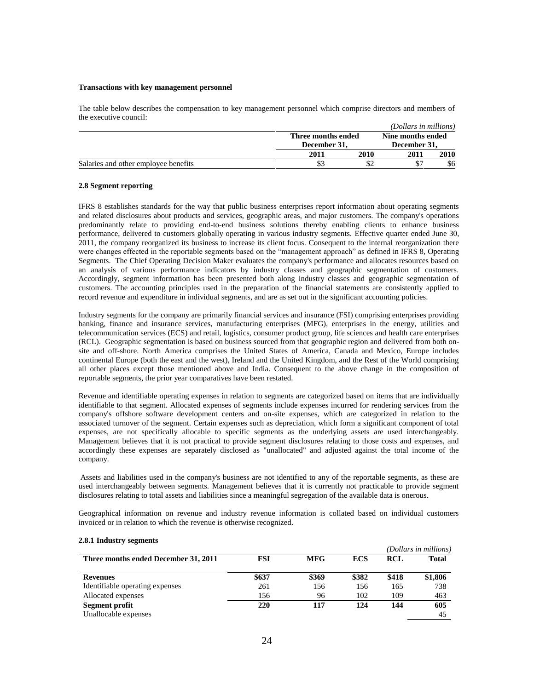## **Transactions with key management personnel**

The table below describes the compensation to key management personnel which comprise directors and members of the executive council:

|                                      |                    |                   | (Dollars in millions) |              |
|--------------------------------------|--------------------|-------------------|-----------------------|--------------|
|                                      | Three months ended | Nine months ended |                       |              |
|                                      |                    | December 31.      |                       | December 31. |
|                                      | 2011               | 2010              | 2011                  | 2010         |
| Salaries and other employee benefits |                    |                   |                       | \$6          |

## **2.8 Segment reporting**

IFRS 8 establishes standards for the way that public business enterprises report information about operating segments and related disclosures about products and services, geographic areas, and major customers. The company's operations predominantly relate to providing end-to-end business solutions thereby enabling clients to enhance business performance, delivered to customers globally operating in various industry segments. Effective quarter ended June 30, 2011, the company reorganized its business to increase its client focus. Consequent to the internal reorganization there were changes effected in the reportable segments based on the "management approach" as defined in IFRS 8, Operating Segments. The Chief Operating Decision Maker evaluates the company's performance and allocates resources based on an analysis of various performance indicators by industry classes and geographic segmentation of customers. Accordingly, segment information has been presented both along industry classes and geographic segmentation of customers. The accounting principles used in the preparation of the financial statements are consistently applied to record revenue and expenditure in individual segments, and are as set out in the significant accounting policies.

Industry segments for the company are primarily financial services and insurance (FSI) comprising enterprises providing banking, finance and insurance services, manufacturing enterprises (MFG), enterprises in the energy, utilities and telecommunication services (ECS) and retail, logistics, consumer product group, life sciences and health care enterprises (RCL). Geographic segmentation is based on business sourced from that geographic region and delivered from both onsite and off-shore. North America comprises the United States of America, Canada and Mexico, Europe includes continental Europe (both the east and the west), Ireland and the United Kingdom, and the Rest of the World comprising all other places except those mentioned above and India. Consequent to the above change in the composition of reportable segments, the prior year comparatives have been restated.

Revenue and identifiable operating expenses in relation to segments are categorized based on items that are individually identifiable to that segment. Allocated expenses of segments include expenses incurred for rendering services from the company's offshore software development centers and on-site expenses, which are categorized in relation to the associated turnover of the segment. Certain expenses such as depreciation, which form a significant component of total expenses, are not specifically allocable to specific segments as the underlying assets are used interchangeably. Management believes that it is not practical to provide segment disclosures relating to those costs and expenses, and accordingly these expenses are separately disclosed as "unallocated" and adjusted against the total income of the company.

Assets and liabilities used in the company's business are not identified to any of the reportable segments, as these are used interchangeably between segments. Management believes that it is currently not practicable to provide segment disclosures relating to total assets and liabilities since a meaningful segregation of the available data is onerous.

Geographical information on revenue and industry revenue information is collated based on individual customers invoiced or in relation to which the revenue is otherwise recognized.

|                                      |            |            |            |            | (Dollars in millions) |
|--------------------------------------|------------|------------|------------|------------|-----------------------|
| Three months ended December 31, 2011 | <b>FSI</b> | <b>MFG</b> | <b>ECS</b> | <b>RCL</b> | Total                 |
| <b>Revenues</b>                      | \$637      | \$369      | \$382      | \$418      | \$1,806               |
| Identifiable operating expenses      | 261        | 156        | 156        | 165        | 738                   |
| Allocated expenses                   | 156        | 96         | 102        | 109        | 463                   |
| Segment profit                       | 220        | 117        | 124        | 144        | 605                   |
| Unallocable expenses                 |            |            |            |            | 45                    |

#### **2.8.1 Industry segments**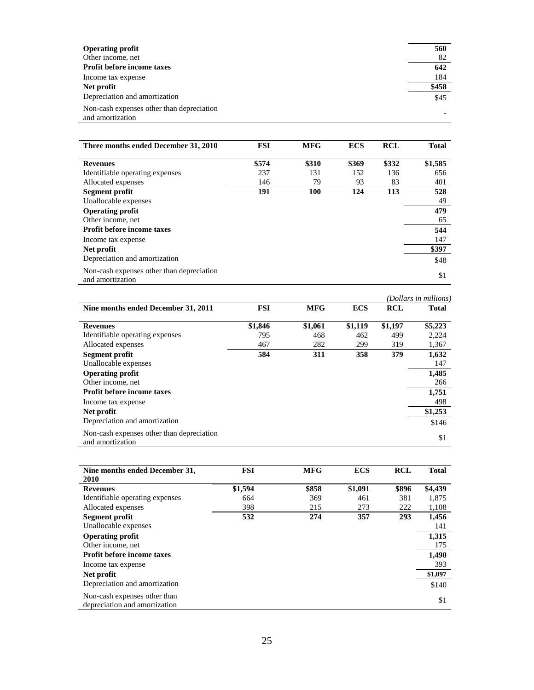| <b>Operating profit</b>                                       | 560   |
|---------------------------------------------------------------|-------|
| Other income, net                                             | 82    |
| <b>Profit before income taxes</b>                             | 642   |
| Income tax expense                                            | 184   |
| Net profit                                                    | \$458 |
| Depreciation and amortization                                 | \$45  |
| Non-cash expenses other than depreciation<br>and amortization |       |

| Three months ended December 31, 2010                          | <b>FSI</b> | <b>MFG</b> | <b>ECS</b> | <b>RCL</b> | <b>Total</b> |
|---------------------------------------------------------------|------------|------------|------------|------------|--------------|
| <b>Revenues</b>                                               | \$574      | \$310      | \$369      | \$332      | \$1,585      |
| Identifiable operating expenses                               | 237        | 131        | 152        | 136        | 656          |
| Allocated expenses                                            | 146        | 79         | 93         | 83         | 401          |
| Segment profit                                                | 191        | 100        | 124        | 113        | 528          |
| Unallocable expenses                                          |            |            |            |            | 49           |
| <b>Operating profit</b>                                       |            |            |            |            | 479          |
| Other income, net                                             |            |            |            |            | 65           |
| <b>Profit before income taxes</b>                             |            |            |            |            | 544          |
| Income tax expense                                            |            |            |            |            | 147          |
| Net profit                                                    |            |            |            |            | \$397        |
| Depreciation and amortization                                 |            |            |            |            | \$48         |
| Non-cash expenses other than depreciation<br>and amortization |            |            |            |            | \$1          |

|                                                               |            |            |            |            | (Dollars in millions) |
|---------------------------------------------------------------|------------|------------|------------|------------|-----------------------|
| Nine months ended December 31, 2011                           | <b>FSI</b> | <b>MFG</b> | <b>ECS</b> | <b>RCL</b> | Total                 |
| <b>Revenues</b>                                               | \$1,846    | \$1,061    | \$1,119    | \$1,197    | \$5,223               |
| Identifiable operating expenses                               | 795        | 468        | 462        | 499        | 2,224                 |
| Allocated expenses                                            | 467        | 282        | 299        | 319        | 1,367                 |
| Segment profit<br>Unallocable expenses                        | 584        | 311        | 358        | 379        | 1,632<br>147          |
| <b>Operating profit</b><br>Other income, net                  |            |            |            |            | 1,485<br>266          |
| Profit before income taxes                                    |            |            |            |            | 1,751                 |
| Income tax expense                                            |            |            |            |            | 498                   |
| Net profit                                                    |            |            |            |            | \$1,253               |
| Depreciation and amortization                                 |            |            |            |            | \$146                 |
| Non-cash expenses other than depreciation<br>and amortization |            |            |            |            | \$1                   |

| Nine months ended December 31,<br><b>2010</b>                 | <b>FSI</b> | <b>MFG</b> | <b>ECS</b> | <b>RCL</b> | <b>Total</b> |
|---------------------------------------------------------------|------------|------------|------------|------------|--------------|
| <b>Revenues</b>                                               | \$1,594    | \$858      | \$1,091    | \$896      | \$4,439      |
| Identifiable operating expenses                               | 664        | 369        | 461        | 381        | 1,875        |
| Allocated expenses                                            | 398        | 215        | 273        | 222        | 1,108        |
| Segment profit                                                | 532        | 274        | 357        | 293        | 1,456        |
| Unallocable expenses                                          |            |            |            |            | 141          |
| <b>Operating profit</b>                                       |            |            |            |            | 1,315        |
| Other income, net                                             |            |            |            |            | 175          |
| <b>Profit before income taxes</b>                             |            |            |            |            | 1,490        |
| Income tax expense                                            |            |            |            |            | 393          |
| Net profit                                                    |            |            |            |            | \$1,097      |
| Depreciation and amortization                                 |            |            |            |            | \$140        |
| Non-cash expenses other than<br>depreciation and amortization |            |            |            |            | \$1          |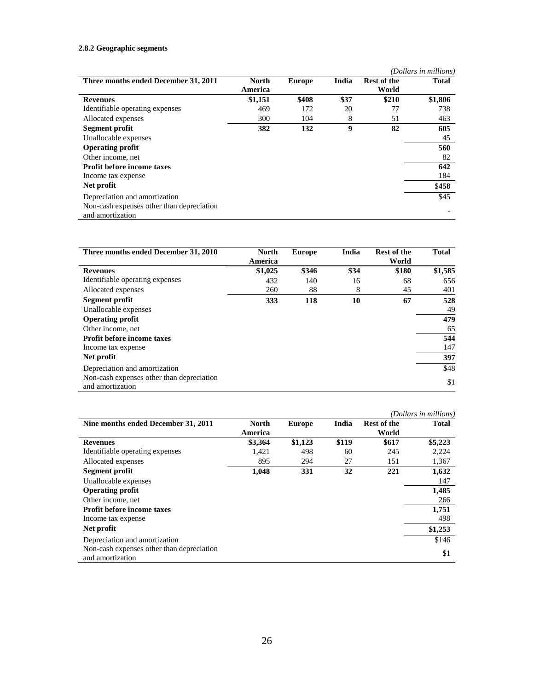# **2.8.2 Geographic segments**

|                                           |         |               |       |                    | (Dollars in millions) |
|-------------------------------------------|---------|---------------|-------|--------------------|-----------------------|
| Three months ended December 31, 2011      | North   | <b>Europe</b> | India | <b>Rest of the</b> | Total                 |
|                                           | America |               |       | World              |                       |
| <b>Revenues</b>                           | \$1,151 | \$408         | \$37  | \$210              | \$1,806               |
| Identifiable operating expenses           | 469     | 172           | 20    | 77                 | 738                   |
| Allocated expenses                        | 300     | 104           | 8     | 51                 | 463                   |
| Segment profit                            | 382     | 132           | 9     | 82                 | 605                   |
| Unallocable expenses                      |         |               |       |                    | 45                    |
| <b>Operating profit</b>                   |         |               |       |                    | 560                   |
| Other income, net                         |         |               |       |                    | 82                    |
| <b>Profit before income taxes</b>         |         |               |       |                    | 642                   |
| Income tax expense                        |         |               |       |                    | 184                   |
| Net profit                                |         |               |       |                    | \$458                 |
| Depreciation and amortization             |         |               |       |                    | \$45                  |
| Non-cash expenses other than depreciation |         |               |       |                    |                       |
| and amortization                          |         |               |       |                    |                       |

| Three months ended December 31, 2010                          | <b>North</b><br>America | <b>Europe</b> | India | <b>Rest of the</b><br>World | <b>Total</b> |
|---------------------------------------------------------------|-------------------------|---------------|-------|-----------------------------|--------------|
| <b>Revenues</b>                                               | \$1,025                 | \$346         | \$34  | \$180                       | \$1,585      |
| Identifiable operating expenses                               | 432                     | 140           | 16    | 68                          | 656          |
| Allocated expenses                                            | 260                     | 88            | 8     | 45                          | 401          |
| Segment profit                                                | 333                     | 118           | 10    | 67                          | 528          |
| Unallocable expenses                                          |                         |               |       |                             | 49           |
| <b>Operating profit</b>                                       |                         |               |       |                             | 479          |
| Other income, net                                             |                         |               |       |                             | 65           |
| <b>Profit before income taxes</b>                             |                         |               |       |                             | 544          |
| Income tax expense                                            |                         |               |       |                             | 147          |
| Net profit                                                    |                         |               |       |                             | 397          |
| Depreciation and amortization                                 |                         |               |       |                             | \$48         |
| Non-cash expenses other than depreciation<br>and amortization |                         |               |       |                             | \$1          |

|                                                               |                         |               |       |                             | (Dollars in millions) |
|---------------------------------------------------------------|-------------------------|---------------|-------|-----------------------------|-----------------------|
| Nine months ended December 31, 2011                           | <b>North</b><br>America | <b>Europe</b> | India | <b>Rest of the</b><br>World | <b>Total</b>          |
| <b>Revenues</b>                                               | \$3,364                 | \$1,123       | \$119 | \$617                       | \$5,223               |
| Identifiable operating expenses                               | 1,421                   | 498           | 60    | 245                         | 2,224                 |
| Allocated expenses                                            | 895                     | 294           | 27    | 151                         | 1,367                 |
| Segment profit                                                | 1,048                   | 331           | 32    | 221                         | 1,632                 |
| Unallocable expenses                                          |                         |               |       |                             | 147                   |
| <b>Operating profit</b>                                       |                         |               |       |                             | 1,485                 |
| Other income, net                                             |                         |               |       |                             | 266                   |
| <b>Profit before income taxes</b>                             |                         |               |       |                             | 1,751                 |
| Income tax expense                                            |                         |               |       |                             | 498                   |
| Net profit                                                    |                         |               |       |                             | \$1,253               |
| Depreciation and amortization                                 |                         |               |       |                             | \$146                 |
| Non-cash expenses other than depreciation<br>and amortization |                         |               |       |                             | \$1                   |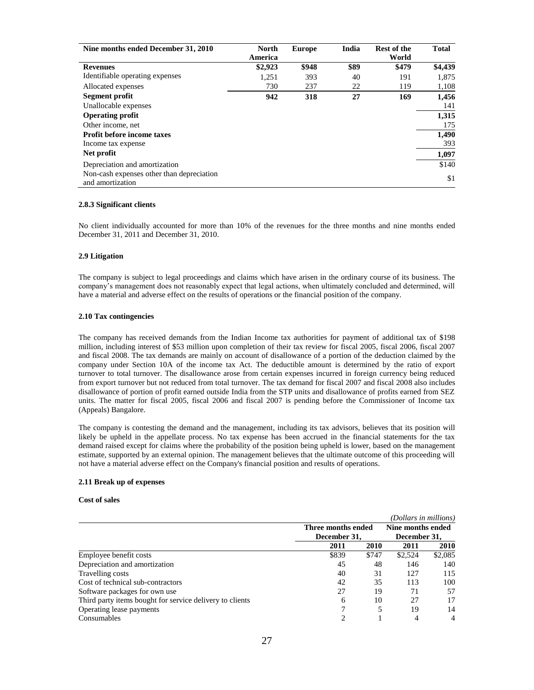| Nine months ended December 31, 2010                           | <b>North</b> | <b>Europe</b> | India | <b>Rest of the</b> | <b>Total</b> |
|---------------------------------------------------------------|--------------|---------------|-------|--------------------|--------------|
|                                                               | America      |               |       | World              |              |
| <b>Revenues</b>                                               | \$2,923      | \$948         | \$89  | \$479              | \$4,439      |
| Identifiable operating expenses                               | 1,251        | 393           | 40    | 191                | 1,875        |
| Allocated expenses                                            | 730          | 237           | 22    | 119                | 1,108        |
| Segment profit                                                | 942          | 318           | 27    | 169                | 1,456        |
| Unallocable expenses                                          |              |               |       |                    | 141          |
| <b>Operating profit</b>                                       |              |               |       |                    | 1,315        |
| Other income, net                                             |              |               |       |                    | 175          |
| <b>Profit before income taxes</b>                             |              |               |       |                    | 1,490        |
| Income tax expense                                            |              |               |       |                    | 393          |
| Net profit                                                    |              |               |       |                    | 1,097        |
| Depreciation and amortization                                 |              |               |       |                    | \$140        |
| Non-cash expenses other than depreciation<br>and amortization |              |               |       |                    | \$1          |

#### **2.8.3 Significant clients**

No client individually accounted for more than 10% of the revenues for the three months and nine months ended December 31, 2011 and December 31, 2010.

### **2.9 Litigation**

The company is subject to legal proceedings and claims which have arisen in the ordinary course of its business. The company"s management does not reasonably expect that legal actions, when ultimately concluded and determined, will have a material and adverse effect on the results of operations or the financial position of the company.

## **2.10 Tax contingencies**

The company has received demands from the Indian Income tax authorities for payment of additional tax of \$198 million, including interest of \$53 million upon completion of their tax review for fiscal 2005, fiscal 2006, fiscal 2007 and fiscal 2008. The tax demands are mainly on account of disallowance of a portion of the deduction claimed by the company under Section 10A of the income tax Act. The deductible amount is determined by the ratio of export turnover to total turnover. The disallowance arose from certain expenses incurred in foreign currency being reduced from export turnover but not reduced from total turnover. The tax demand for fiscal 2007 and fiscal 2008 also includes disallowance of portion of profit earned outside India from the STP units and disallowance of profits earned from SEZ units. The matter for fiscal 2005, fiscal 2006 and fiscal 2007 is pending before the Commissioner of Income tax (Appeals) Bangalore.

The company is contesting the demand and the management, including its tax advisors, believes that its position will likely be upheld in the appellate process. No tax expense has been accrued in the financial statements for the tax demand raised except for claims where the probability of the position being upheld is lower, based on the management estimate, supported by an external opinion. The management believes that the ultimate outcome of this proceeding will not have a material adverse effect on the Company's financial position and results of operations.

#### **2.11 Break up of expenses**

## **Cost of sales**

|                                                          |              |                    | (Dollars in millions) |                |  |
|----------------------------------------------------------|--------------|--------------------|-----------------------|----------------|--|
|                                                          |              | Three months ended |                       |                |  |
|                                                          | December 31. |                    | December 31.          |                |  |
|                                                          | 2011         | 2010               | 2011                  | 2010           |  |
| Employee benefit costs                                   | \$839        | \$747              | \$2.524               | \$2,085        |  |
| Depreciation and amortization                            | 45           | 48                 | 146                   | 140            |  |
| Travelling costs                                         | 40           | 31                 | 127                   | 115            |  |
| Cost of technical sub-contractors                        | 42           | 35                 | 113                   | 100            |  |
| Software packages for own use                            | 27           | 19                 | 71                    | 57             |  |
| Third party items bought for service delivery to clients | 6            | 10                 | 27                    | 17             |  |
| Operating lease payments                                 |              |                    | 19                    | 14             |  |
| Consumables                                              |              |                    | 4                     | $\overline{4}$ |  |